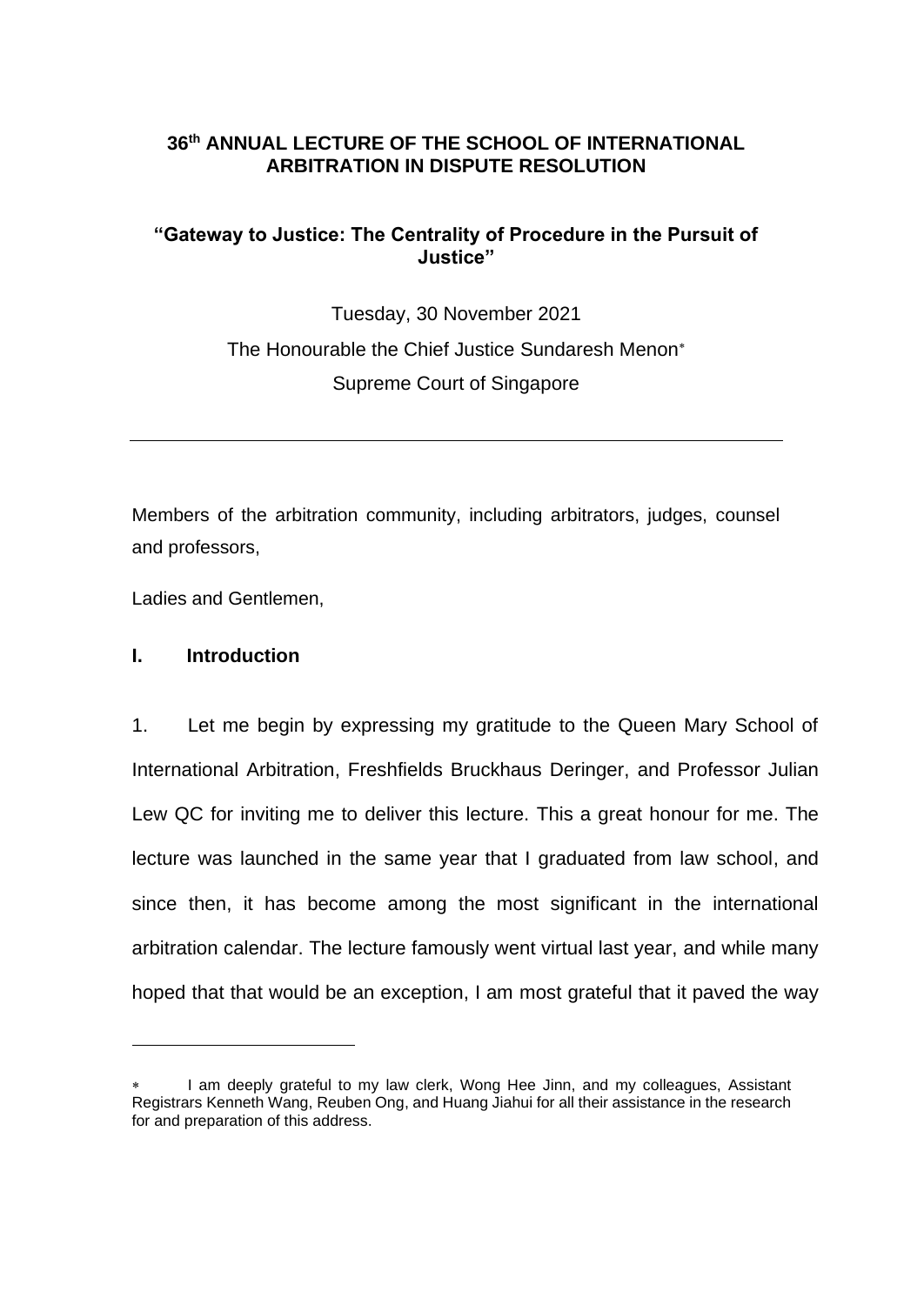# **36th ANNUAL LECTURE OF THE SCHOOL OF INTERNATIONAL ARBITRATION IN DISPUTE RESOLUTION**

# **"Gateway to Justice: The Centrality of Procedure in the Pursuit of Justice"**

Tuesday, 30 November 2021 The Honourable the Chief Justice Sundaresh Menon Supreme Court of Singapore

Members of the arbitration community, including arbitrators, judges, counsel and professors,

Ladies and Gentlemen,

# **I. Introduction**

1. Let me begin by expressing my gratitude to the Queen Mary School of International Arbitration, Freshfields Bruckhaus Deringer, and Professor Julian Lew QC for inviting me to deliver this lecture. This a great honour for me. The lecture was launched in the same year that I graduated from law school, and since then, it has become among the most significant in the international arbitration calendar. The lecture famously went virtual last year, and while many hoped that that would be an exception, I am most grateful that it paved the way

I am deeply grateful to my law clerk, Wong Hee Jinn, and my colleagues, Assistant Registrars Kenneth Wang, Reuben Ong, and Huang Jiahui for all their assistance in the research for and preparation of this address.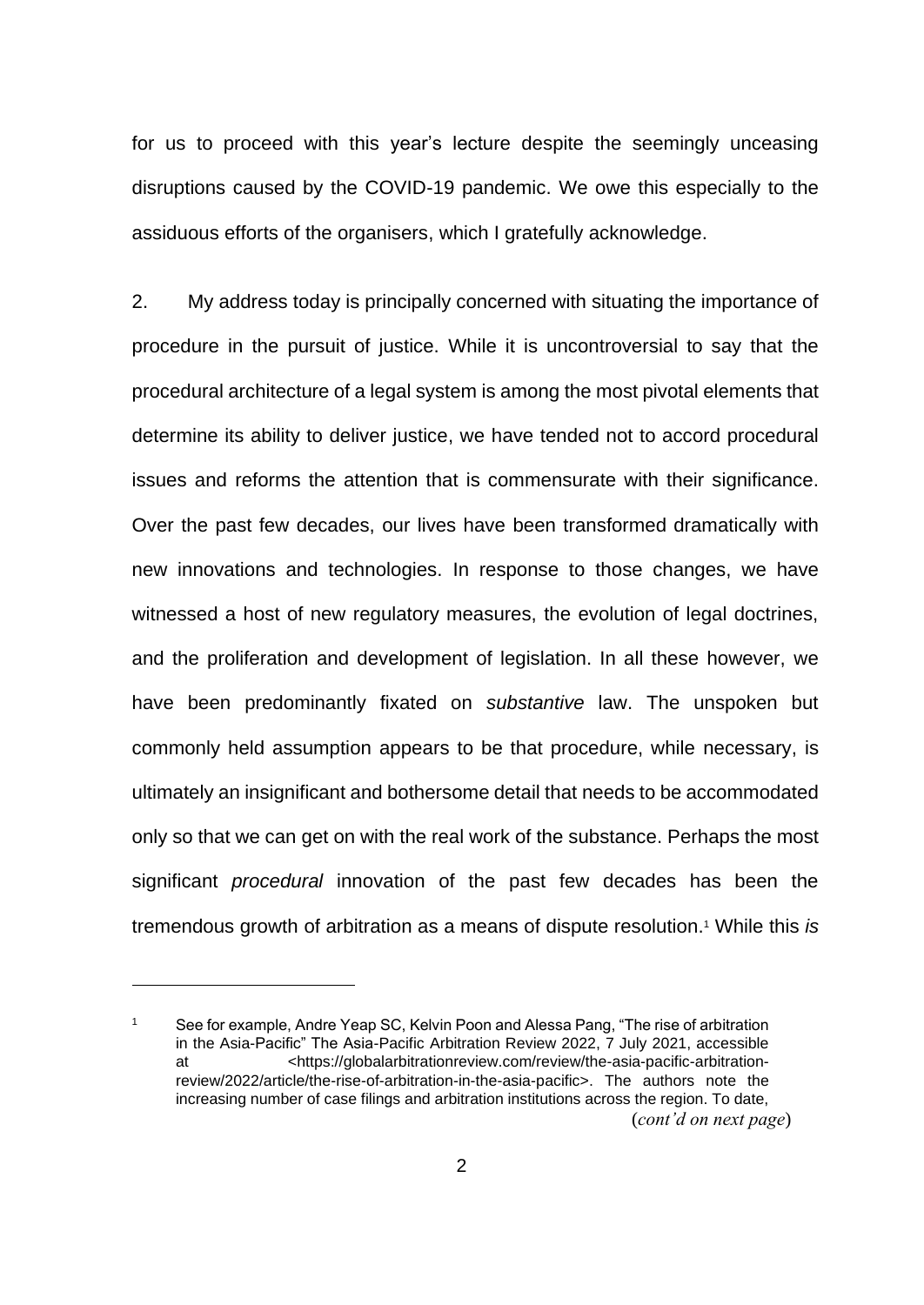for us to proceed with this year's lecture despite the seemingly unceasing disruptions caused by the COVID-19 pandemic. We owe this especially to the assiduous efforts of the organisers, which I gratefully acknowledge.

2. My address today is principally concerned with situating the importance of procedure in the pursuit of justice. While it is uncontroversial to say that the procedural architecture of a legal system is among the most pivotal elements that determine its ability to deliver justice, we have tended not to accord procedural issues and reforms the attention that is commensurate with their significance. Over the past few decades, our lives have been transformed dramatically with new innovations and technologies. In response to those changes, we have witnessed a host of new regulatory measures, the evolution of legal doctrines, and the proliferation and development of legislation. In all these however, we have been predominantly fixated on *substantive* law. The unspoken but commonly held assumption appears to be that procedure, while necessary, is ultimately an insignificant and bothersome detail that needs to be accommodated only so that we can get on with the real work of the substance. Perhaps the most significant *procedural* innovation of the past few decades has been the tremendous growth of arbitration as a means of dispute resolution. <sup>1</sup> While this *is*

<sup>1</sup> See for example, Andre Yeap SC, Kelvin Poon and Alessa Pang, "The rise of arbitration in the Asia-Pacific" The Asia-Pacific Arbitration Review 2022, 7 July 2021, accessible at <https://globalarbitrationreview.com/review/the-asia-pacific-arbitrationreview/2022/article/the-rise-of-arbitration-in-the-asia-pacific>. The authors note the increasing number of case filings and arbitration institutions across the region. To date, (*cont'd on next page*)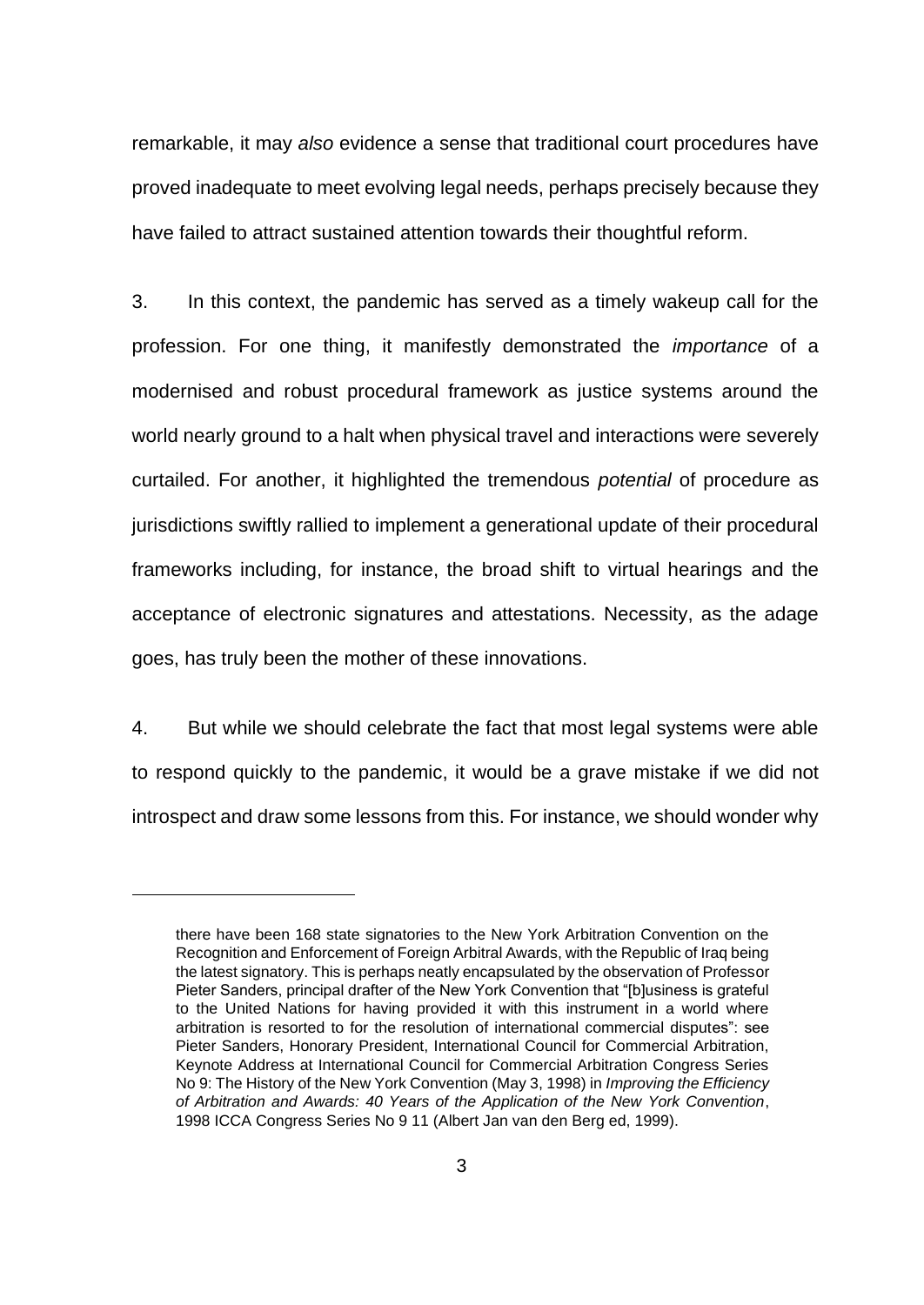remarkable, it may *also* evidence a sense that traditional court procedures have proved inadequate to meet evolving legal needs, perhaps precisely because they have failed to attract sustained attention towards their thoughtful reform.

3. In this context, the pandemic has served as a timely wakeup call for the profession. For one thing, it manifestly demonstrated the *importance* of a modernised and robust procedural framework as justice systems around the world nearly ground to a halt when physical travel and interactions were severely curtailed. For another, it highlighted the tremendous *potential* of procedure as jurisdictions swiftly rallied to implement a generational update of their procedural frameworks including, for instance, the broad shift to virtual hearings and the acceptance of electronic signatures and attestations. Necessity, as the adage goes, has truly been the mother of these innovations.

4. But while we should celebrate the fact that most legal systems were able to respond quickly to the pandemic, it would be a grave mistake if we did not introspect and draw some lessons from this. For instance, we should wonder why

there have been 168 state signatories to the New York Arbitration Convention on the Recognition and Enforcement of Foreign Arbitral Awards, with the Republic of Iraq being the latest signatory. This is perhaps neatly encapsulated by the observation of Professor Pieter Sanders, principal drafter of the New York Convention that "[b]usiness is grateful to the United Nations for having provided it with this instrument in a world where arbitration is resorted to for the resolution of international commercial disputes": see Pieter Sanders, Honorary President, International Council for Commercial Arbitration, Keynote Address at International Council for Commercial Arbitration Congress Series No 9: The History of the New York Convention (May 3, 1998) in *Improving the Efficiency of Arbitration and Awards: 40 Years of the Application of the New York Convention*, 1998 ICCA Congress Series No 9 11 (Albert Jan van den Berg ed, 1999).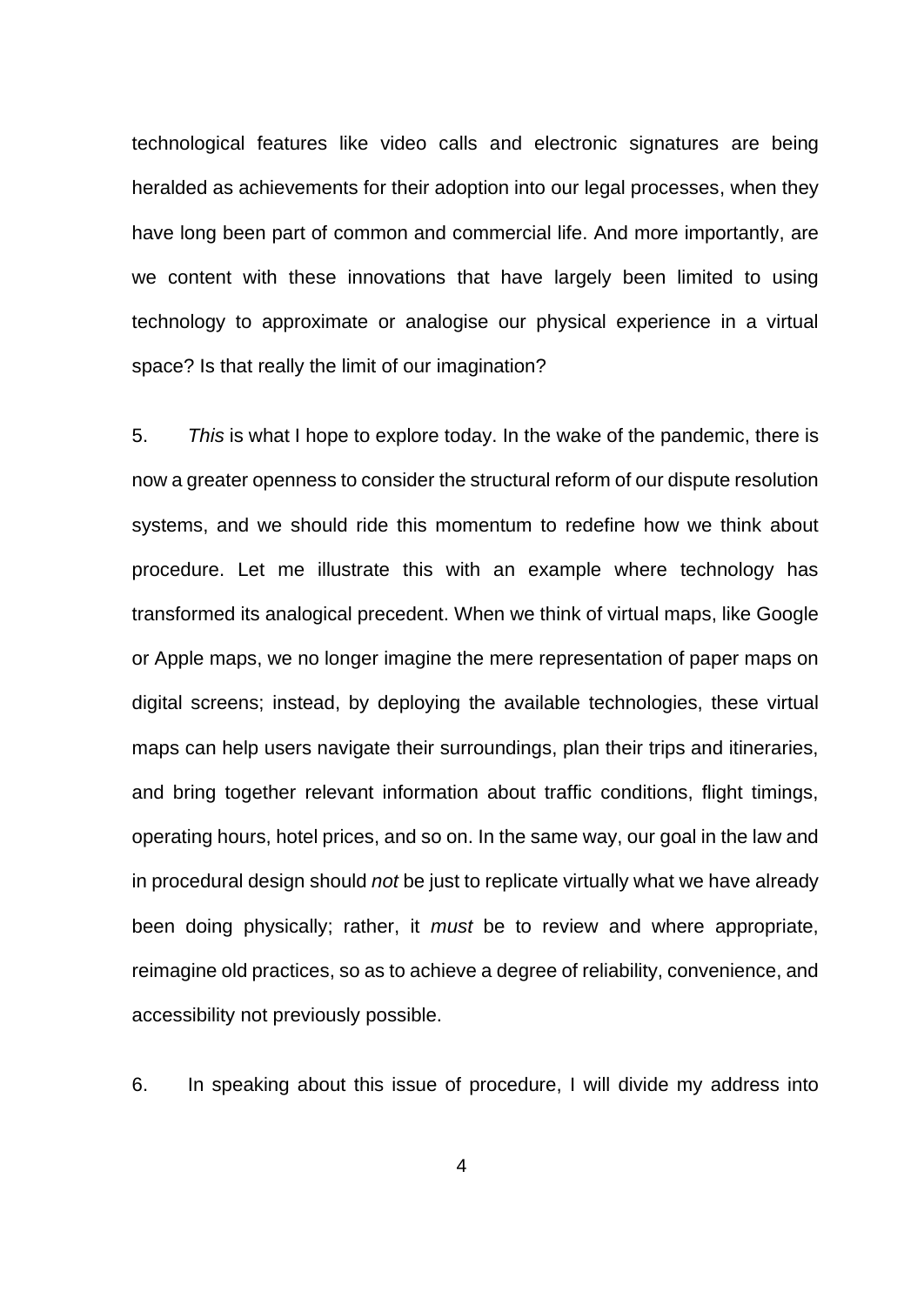technological features like video calls and electronic signatures are being heralded as achievements for their adoption into our legal processes, when they have long been part of common and commercial life. And more importantly, are we content with these innovations that have largely been limited to using technology to approximate or analogise our physical experience in a virtual space? Is that really the limit of our imagination?

5. *This* is what I hope to explore today. In the wake of the pandemic, there is now a greater openness to consider the structural reform of our dispute resolution systems, and we should ride this momentum to redefine how we think about procedure. Let me illustrate this with an example where technology has transformed its analogical precedent. When we think of virtual maps, like Google or Apple maps, we no longer imagine the mere representation of paper maps on digital screens; instead, by deploying the available technologies, these virtual maps can help users navigate their surroundings, plan their trips and itineraries, and bring together relevant information about traffic conditions, flight timings, operating hours, hotel prices, and so on. In the same way, our goal in the law and in procedural design should *not* be just to replicate virtually what we have already been doing physically; rather, it *must* be to review and where appropriate, reimagine old practices, so as to achieve a degree of reliability, convenience, and accessibility not previously possible.

6. In speaking about this issue of procedure, I will divide my address into

4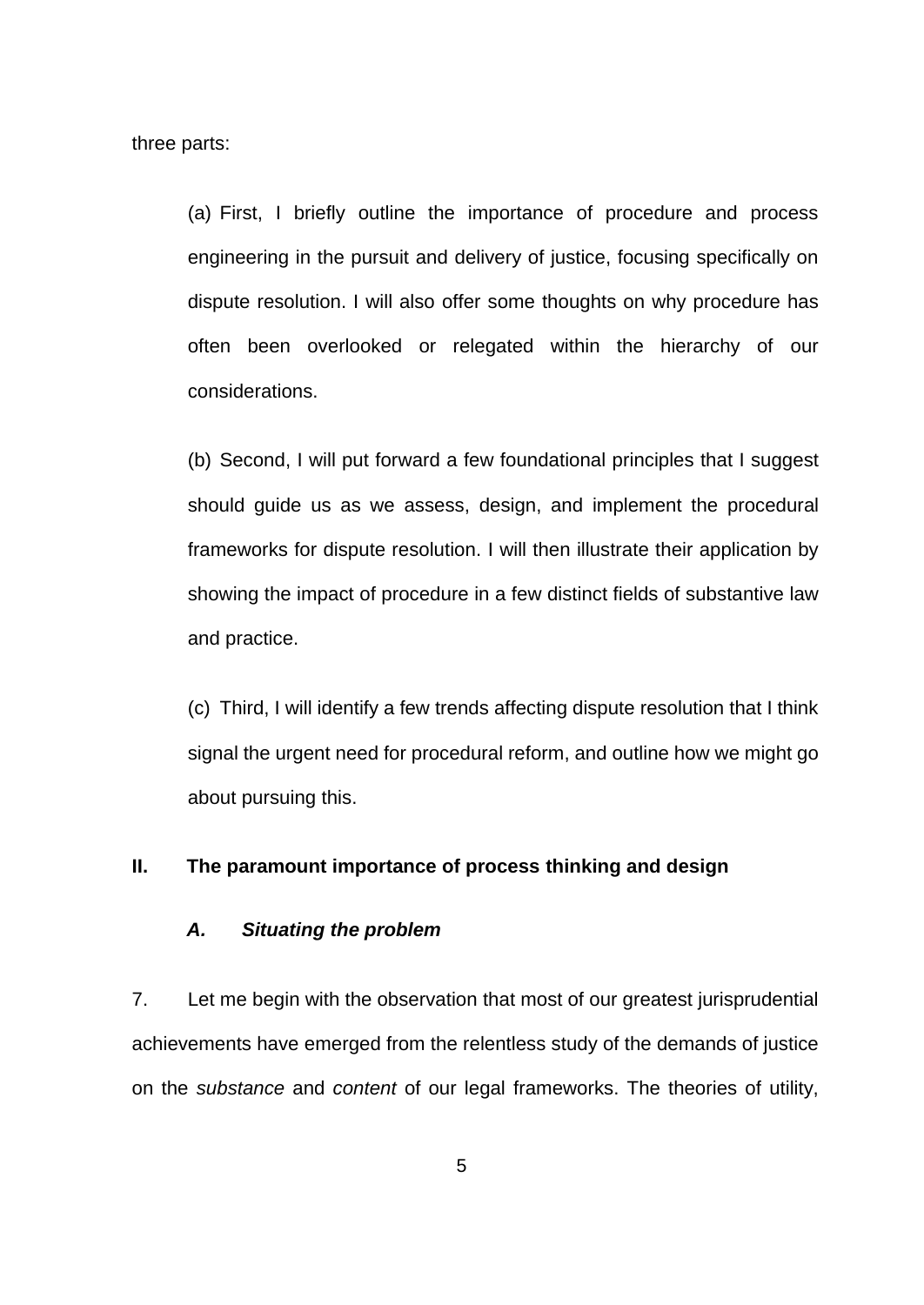three parts:

(a) First, I briefly outline the importance of procedure and process engineering in the pursuit and delivery of justice, focusing specifically on dispute resolution. I will also offer some thoughts on why procedure has often been overlooked or relegated within the hierarchy of our considerations.

(b) Second, I will put forward a few foundational principles that I suggest should guide us as we assess, design, and implement the procedural frameworks for dispute resolution. I will then illustrate their application by showing the impact of procedure in a few distinct fields of substantive law and practice.

(c) Third, I will identify a few trends affecting dispute resolution that I think signal the urgent need for procedural reform, and outline how we might go about pursuing this.

#### **II. The paramount importance of process thinking and design**

## *A. Situating the problem*

7. Let me begin with the observation that most of our greatest jurisprudential achievements have emerged from the relentless study of the demands of justice on the *substance* and *content* of our legal frameworks. The theories of utility,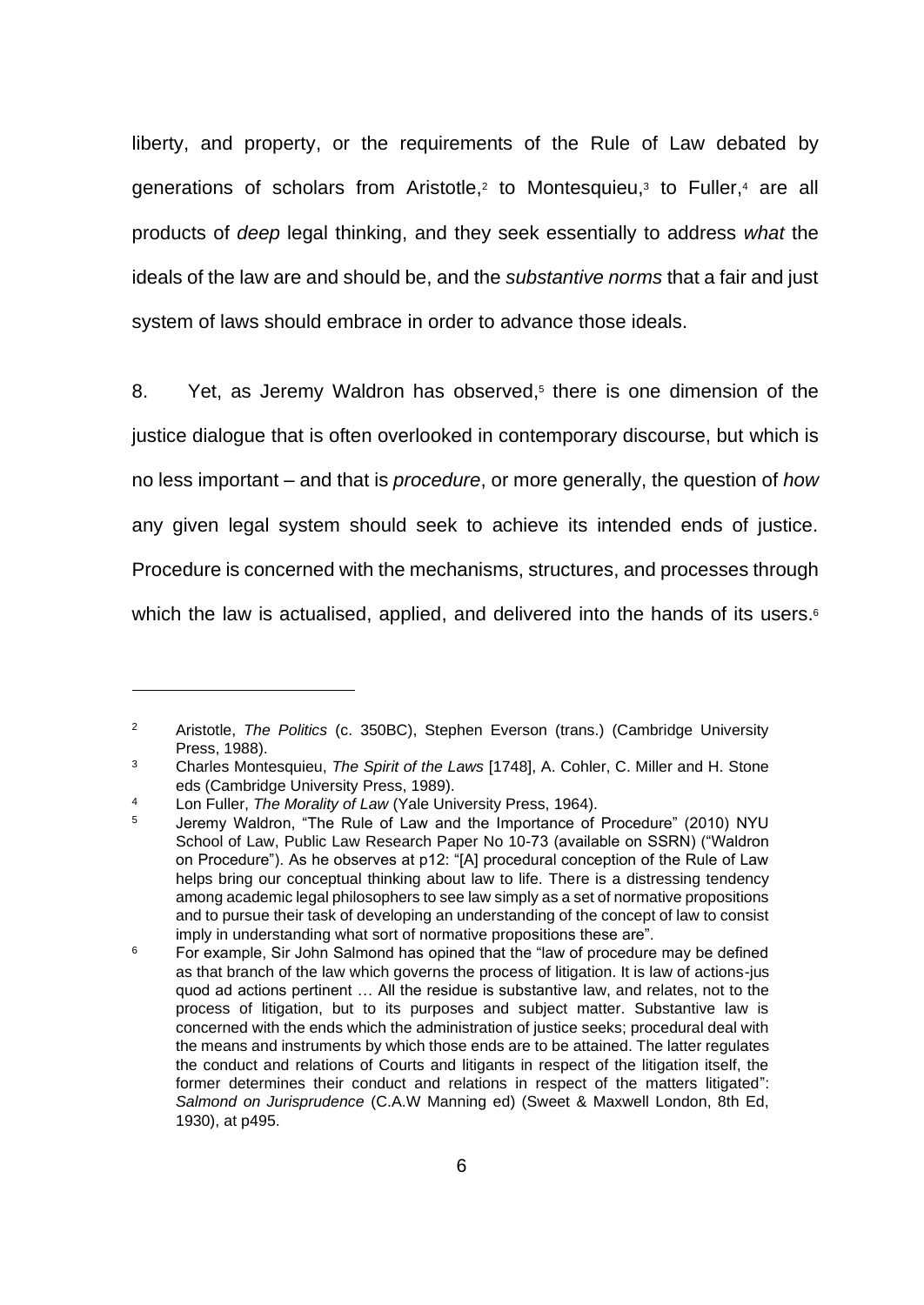liberty, and property, or the requirements of the Rule of Law debated by generations of scholars from Aristotle,<sup>2</sup> to Montesquieu,<sup>3</sup> to Fuller,<sup>4</sup> are all products of *deep* legal thinking, and they seek essentially to address *what* the ideals of the law are and should be, and the *substantive norms* that a fair and just system of laws should embrace in order to advance those ideals.

8. Yet, as Jeremy Waldron has observed, 5 there is one dimension of the justice dialogue that is often overlooked in contemporary discourse, but which is no less important – and that is *procedure*, or more generally, the question of *how* any given legal system should seek to achieve its intended ends of justice. Procedure is concerned with the mechanisms, structures, and processes through which the law is actualised, applied, and delivered into the hands of its users.<sup>6</sup>

<sup>2</sup> Aristotle, *The Politics* (c. 350BC), Stephen Everson (trans.) (Cambridge University Press, 1988).

<sup>3</sup> Charles Montesquieu, *The Spirit of the Laws* [1748], A. Cohler, C. Miller and H. Stone eds (Cambridge University Press, 1989).

<sup>4</sup> Lon Fuller, *The Morality of Law* (Yale University Press, 1964).

<sup>5</sup> Jeremy Waldron, "The Rule of Law and the Importance of Procedure" (2010) NYU School of Law, Public Law Research Paper No 10-73 (available on SSRN) ("Waldron on Procedure"). As he observes at p12: "[A] procedural conception of the Rule of Law helps bring our conceptual thinking about law to life. There is a distressing tendency among academic legal philosophers to see law simply as a set of normative propositions and to pursue their task of developing an understanding of the concept of law to consist imply in understanding what sort of normative propositions these are".

<sup>&</sup>lt;sup>6</sup> For example, Sir John Salmond has opined that the "law of procedure may be defined as that branch of the law which governs the process of litigation. It is law of actions-jus quod ad actions pertinent … All the residue is substantive law, and relates, not to the process of litigation, but to its purposes and subject matter. Substantive law is concerned with the ends which the administration of justice seeks; procedural deal with the means and instruments by which those ends are to be attained. The latter regulates the conduct and relations of Courts and litigants in respect of the litigation itself, the former determines their conduct and relations in respect of the matters litigated": *Salmond on Jurisprudence* (C.A.W Manning ed) (Sweet & Maxwell London, 8th Ed, 1930), at p495.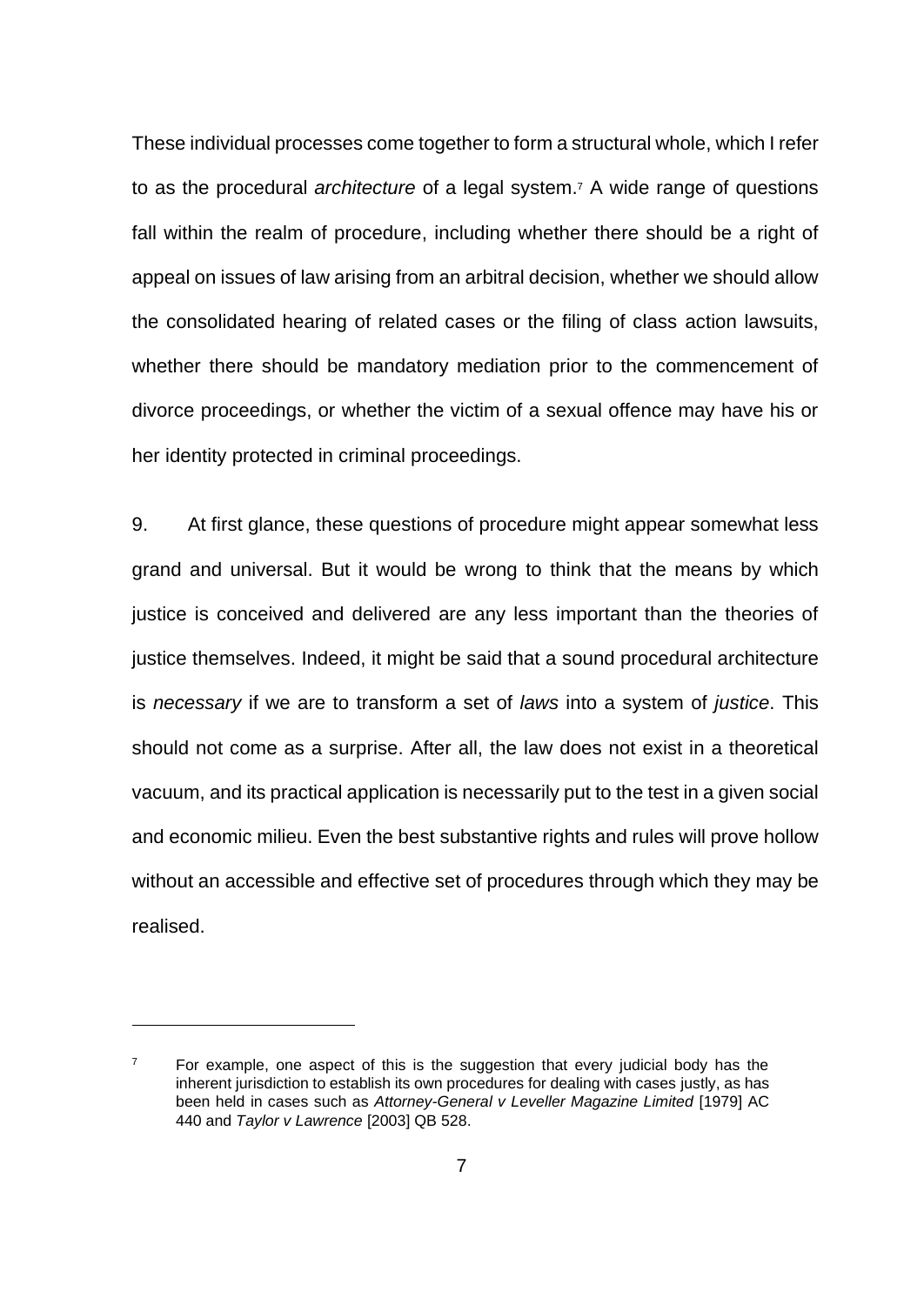These individual processes come together to form a structural whole, which I refer to as the procedural *architecture* of a legal system.<sup>7</sup> A wide range of questions fall within the realm of procedure, including whether there should be a right of appeal on issues of law arising from an arbitral decision, whether we should allow the consolidated hearing of related cases or the filing of class action lawsuits, whether there should be mandatory mediation prior to the commencement of divorce proceedings, or whether the victim of a sexual offence may have his or her identity protected in criminal proceedings.

9. At first glance, these questions of procedure might appear somewhat less grand and universal. But it would be wrong to think that the means by which justice is conceived and delivered are any less important than the theories of justice themselves. Indeed, it might be said that a sound procedural architecture is *necessary* if we are to transform a set of *laws* into a system of *justice*. This should not come as a surprise. After all, the law does not exist in a theoretical vacuum, and its practical application is necessarily put to the test in a given social and economic milieu. Even the best substantive rights and rules will prove hollow without an accessible and effective set of procedures through which they may be realised.

 $7$  For example, one aspect of this is the suggestion that every judicial body has the inherent jurisdiction to establish its own procedures for dealing with cases justly, as has been held in cases such as *Attorney-General v Leveller Magazine Limited* [1979] AC 440 and *Taylor v Lawrence* [2003] QB 528.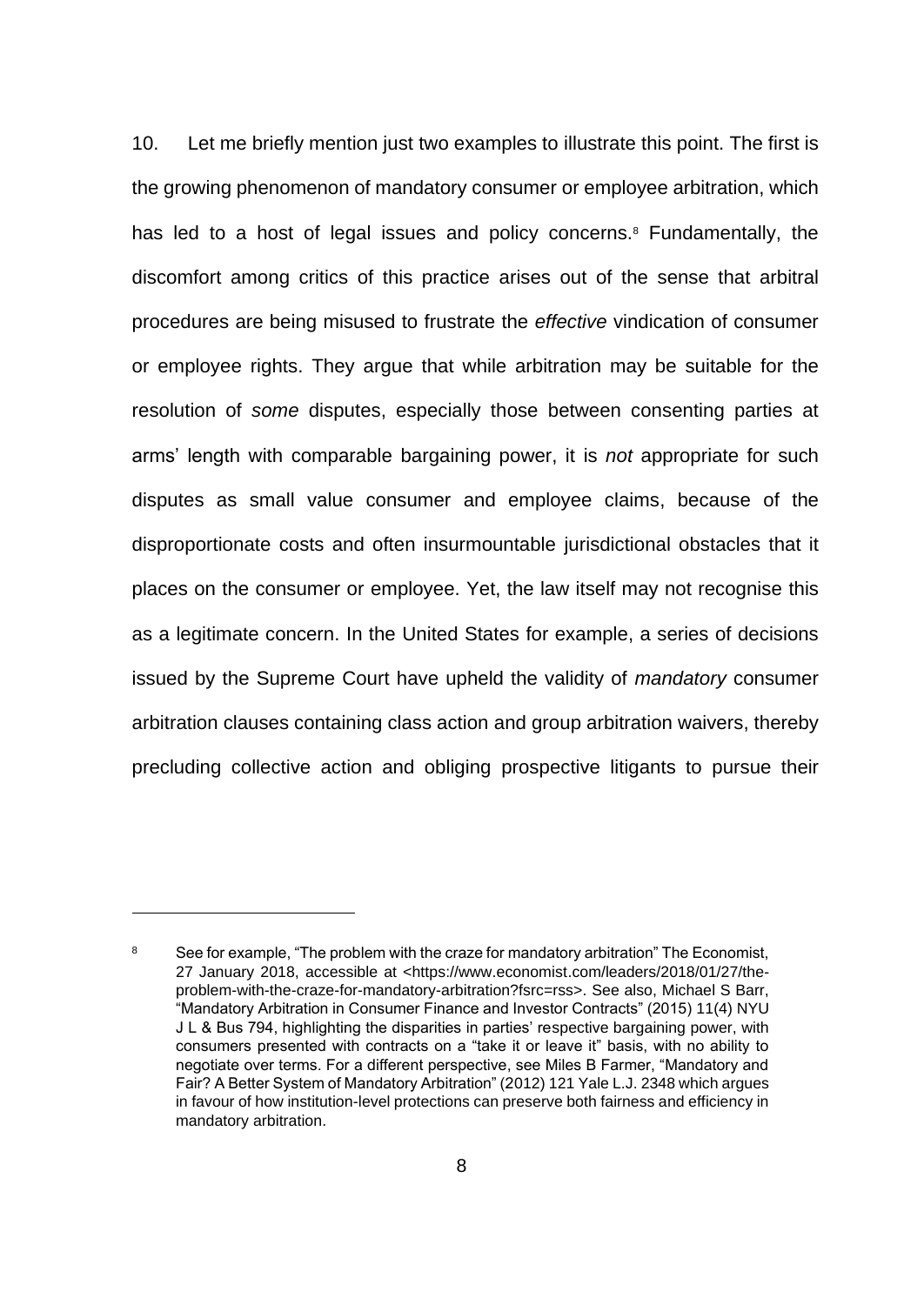10. Let me briefly mention just two examples to illustrate this point. The first is the growing phenomenon of mandatory consumer or employee arbitration, which has led to a host of legal issues and policy concerns.<sup>8</sup> Fundamentally, the discomfort among critics of this practice arises out of the sense that arbitral procedures are being misused to frustrate the *effective* vindication of consumer or employee rights. They argue that while arbitration may be suitable for the resolution of *some* disputes, especially those between consenting parties at arms' length with comparable bargaining power, it is *not* appropriate for such disputes as small value consumer and employee claims, because of the disproportionate costs and often insurmountable jurisdictional obstacles that it places on the consumer or employee. Yet, the law itself may not recognise this as a legitimate concern. In the United States for example, a series of decisions issued by the Supreme Court have upheld the validity of *mandatory* consumer arbitration clauses containing class action and group arbitration waivers, thereby precluding collective action and obliging prospective litigants to pursue their

<sup>&</sup>lt;sup>8</sup> See for example, "The problem with the craze for mandatory arbitration" The Economist, 27 January 2018, accessible at <https://www.economist.com/leaders/2018/01/27/theproblem-with-the-craze-for-mandatory-arbitration?fsrc=rss>. See also, Michael S Barr, "Mandatory Arbitration in Consumer Finance and Investor Contracts" (2015) 11(4) NYU J L & Bus 794, highlighting the disparities in parties' respective bargaining power, with consumers presented with contracts on a "take it or leave it" basis, with no ability to negotiate over terms. For a different perspective, see Miles B Farmer, "Mandatory and Fair? A Better System of Mandatory Arbitration" (2012) 121 Yale L.J. 2348 which argues in favour of how institution-level protections can preserve both fairness and efficiency in mandatory arbitration.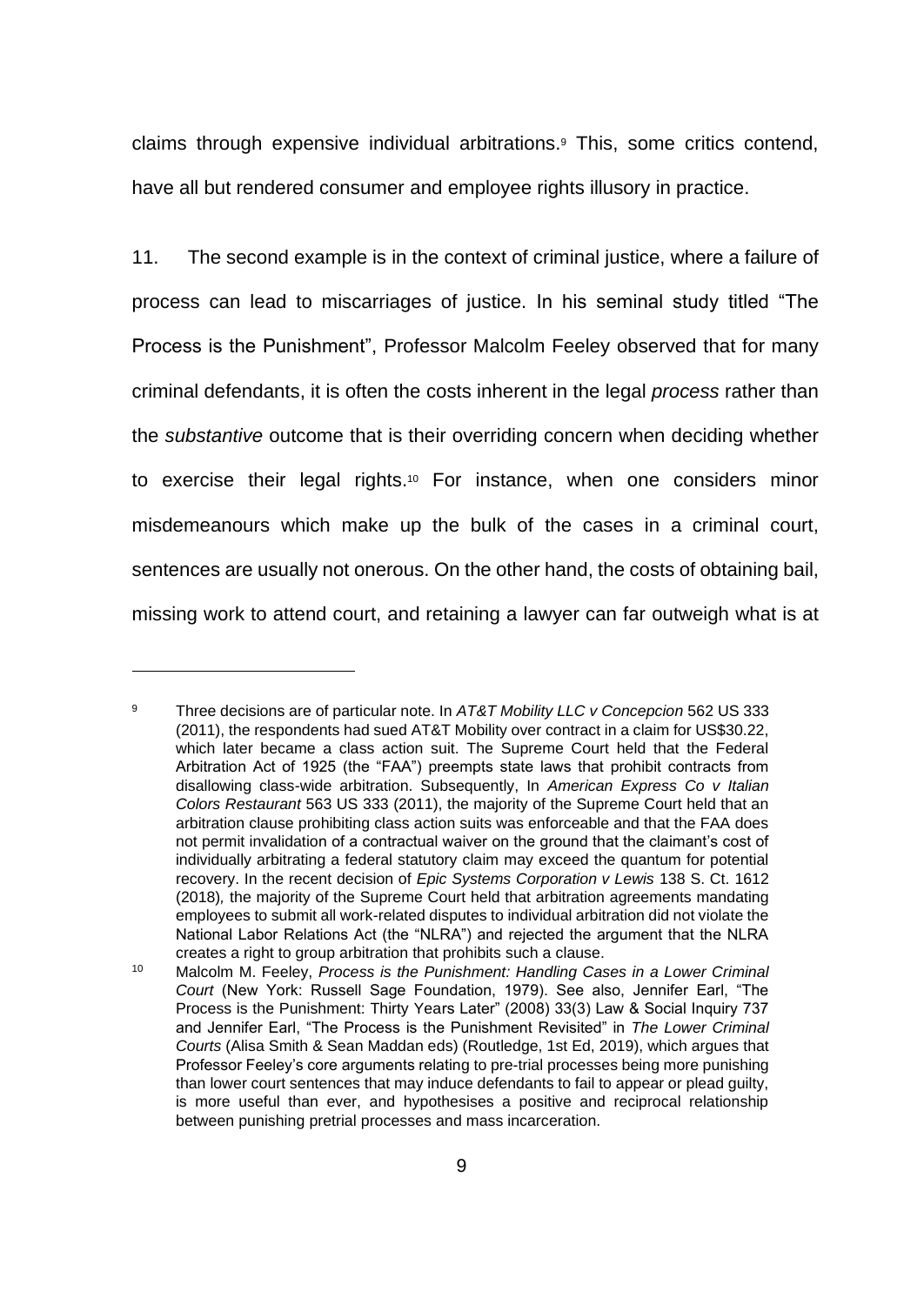claims through expensive individual arbitrations.<sup>9</sup> This, some critics contend, have all but rendered consumer and employee rights illusory in practice.

11. The second example is in the context of criminal justice, where a failure of process can lead to miscarriages of justice. In his seminal study titled "The Process is the Punishment", Professor Malcolm Feeley observed that for many criminal defendants, it is often the costs inherent in the legal *process* rather than the *substantive* outcome that is their overriding concern when deciding whether to exercise their legal rights.<sup>10</sup> For instance, when one considers minor misdemeanours which make up the bulk of the cases in a criminal court, sentences are usually not onerous. On the other hand, the costs of obtaining bail, missing work to attend court, and retaining a lawyer can far outweigh what is at

<sup>9</sup> Three decisions are of particular note. In *AT&T Mobility LLC v Concepcion* 562 US 333 (2011), the respondents had sued AT&T Mobility over contract in a claim for US\$30.22, which later became a class action suit. The Supreme Court held that the Federal Arbitration Act of 1925 (the "FAA") preempts state laws that prohibit contracts from disallowing class-wide arbitration. Subsequently, In *American Express Co v Italian Colors Restaurant* 563 US 333 (2011), the majority of the Supreme Court held that an arbitration clause prohibiting class action suits was enforceable and that the FAA does not permit invalidation of a contractual waiver on the ground that the claimant's cost of individually arbitrating a federal statutory claim may exceed the quantum for potential recovery. In the recent decision of *Epic Systems Corporation v Lewis* 138 S. Ct. 1612 (2018)*,* the majority of the Supreme Court held that arbitration agreements mandating employees to submit all work-related disputes to individual arbitration did not violate the National Labor Relations Act (the "NLRA") and rejected the argument that the NLRA creates a right to group arbitration that prohibits such a clause.

<sup>10</sup> Malcolm M. Feeley, *Process is the Punishment: Handling Cases in a Lower Criminal Court* (New York: Russell Sage Foundation, 1979). See also, Jennifer Earl, "The Process is the Punishment: Thirty Years Later" (2008) 33(3) Law & Social Inquiry 737 and Jennifer Earl, "The Process is the Punishment Revisited" in *The Lower Criminal Courts* (Alisa Smith & Sean Maddan eds) (Routledge, 1st Ed, 2019), which argues that Professor Feeley's core arguments relating to pre-trial processes being more punishing than lower court sentences that may induce defendants to fail to appear or plead guilty, is more useful than ever, and hypothesises a positive and reciprocal relationship between punishing pretrial processes and mass incarceration.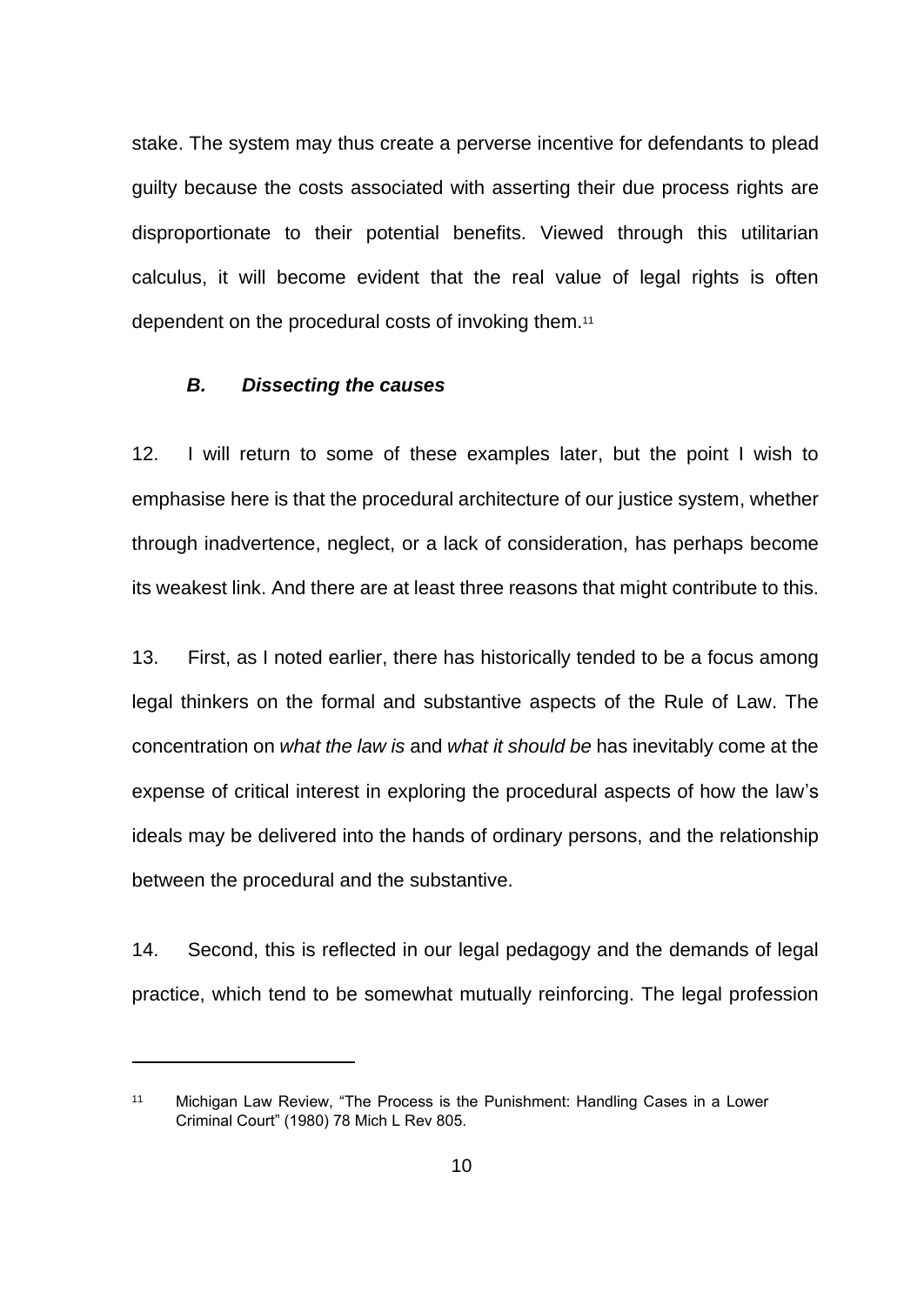stake. The system may thus create a perverse incentive for defendants to plead guilty because the costs associated with asserting their due process rights are disproportionate to their potential benefits. Viewed through this utilitarian calculus, it will become evident that the real value of legal rights is often dependent on the procedural costs of invoking them.<sup>11</sup>

#### *B. Dissecting the causes*

12. I will return to some of these examples later, but the point I wish to emphasise here is that the procedural architecture of our justice system, whether through inadvertence, neglect, or a lack of consideration, has perhaps become its weakest link. And there are at least three reasons that might contribute to this.

13. First, as I noted earlier, there has historically tended to be a focus among legal thinkers on the formal and substantive aspects of the Rule of Law. The concentration on *what the law is* and *what it should be* has inevitably come at the expense of critical interest in exploring the procedural aspects of how the law's ideals may be delivered into the hands of ordinary persons, and the relationship between the procedural and the substantive.

14. Second, this is reflected in our legal pedagogy and the demands of legal practice, which tend to be somewhat mutually reinforcing. The legal profession

<sup>11</sup> Michigan Law Review, "The Process is the Punishment: Handling Cases in a Lower Criminal Court" (1980) 78 Mich L Rev 805.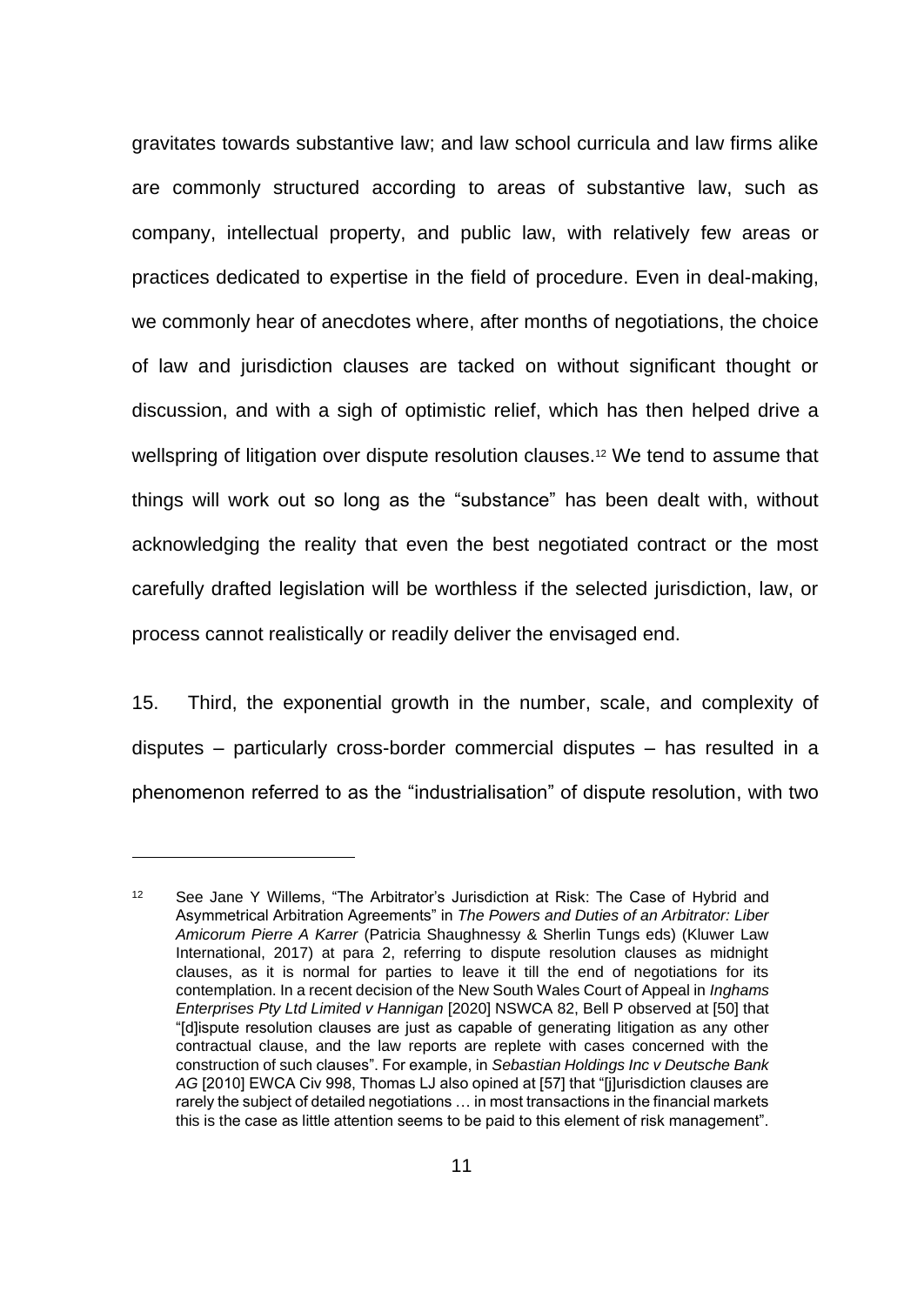gravitates towards substantive law; and law school curricula and law firms alike are commonly structured according to areas of substantive law, such as company, intellectual property, and public law, with relatively few areas or practices dedicated to expertise in the field of procedure. Even in deal-making, we commonly hear of anecdotes where, after months of negotiations, the choice of law and jurisdiction clauses are tacked on without significant thought or discussion, and with a sigh of optimistic relief, which has then helped drive a wellspring of litigation over dispute resolution clauses.<sup>12</sup> We tend to assume that things will work out so long as the "substance" has been dealt with, without acknowledging the reality that even the best negotiated contract or the most carefully drafted legislation will be worthless if the selected jurisdiction, law, or process cannot realistically or readily deliver the envisaged end.

15. Third, the exponential growth in the number, scale, and complexity of disputes – particularly cross-border commercial disputes – has resulted in a phenomenon referred to as the "industrialisation" of dispute resolution, with two

<sup>&</sup>lt;sup>12</sup> See Jane Y Willems, "The Arbitrator's Jurisdiction at Risk: The Case of Hybrid and Asymmetrical Arbitration Agreements" in *The Powers and Duties of an Arbitrator: Liber Amicorum Pierre A Karrer* (Patricia Shaughnessy & Sherlin Tungs eds) (Kluwer Law International, 2017) at para 2, referring to dispute resolution clauses as midnight clauses, as it is normal for parties to leave it till the end of negotiations for its contemplation. In a recent decision of the New South Wales Court of Appeal in *Inghams Enterprises Pty Ltd Limited v Hannigan* [2020] NSWCA 82, Bell P observed at [50] that "[d]ispute resolution clauses are just as capable of generating litigation as any other contractual clause, and the law reports are replete with cases concerned with the construction of such clauses". For example, in *Sebastian Holdings Inc v Deutsche Bank AG* [2010] EWCA Civ 998, Thomas LJ also opined at [57] that "[j]urisdiction clauses are rarely the subject of detailed negotiations … in most transactions in the financial markets this is the case as little attention seems to be paid to this element of risk management".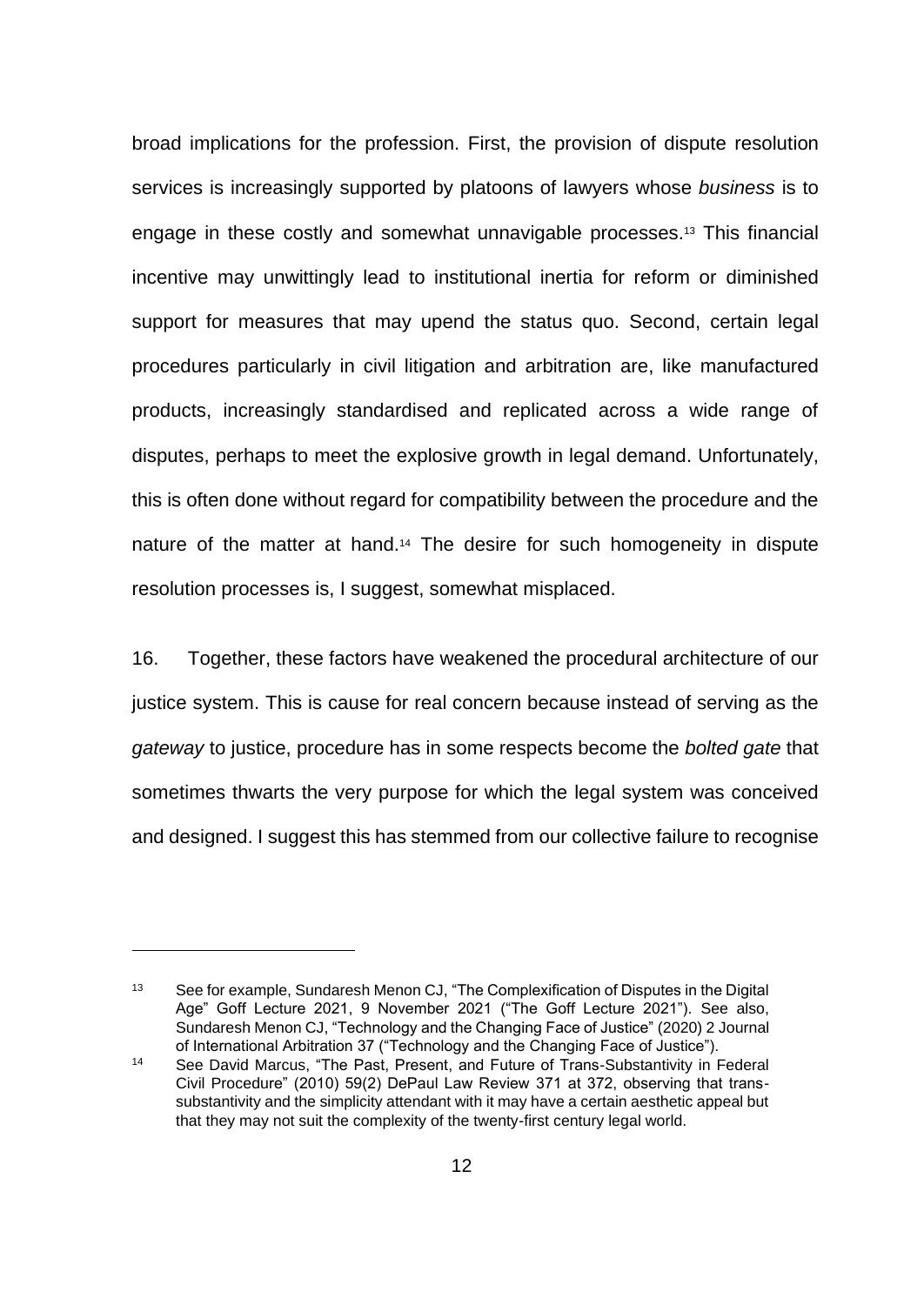broad implications for the profession. First, the provision of dispute resolution services is increasingly supported by platoons of lawyers whose *business* is to engage in these costly and somewhat unnavigable processes.<sup>13</sup> This financial incentive may unwittingly lead to institutional inertia for reform or diminished support for measures that may upend the status quo. Second, certain legal procedures particularly in civil litigation and arbitration are, like manufactured products, increasingly standardised and replicated across a wide range of disputes, perhaps to meet the explosive growth in legal demand. Unfortunately, this is often done without regard for compatibility between the procedure and the nature of the matter at hand.<sup>14</sup> The desire for such homogeneity in dispute resolution processes is, I suggest, somewhat misplaced.

16. Together, these factors have weakened the procedural architecture of our justice system. This is cause for real concern because instead of serving as the *gateway* to justice, procedure has in some respects become the *bolted gate* that sometimes thwarts the very purpose for which the legal system was conceived and designed. I suggest this has stemmed from our collective failure to recognise

<sup>&</sup>lt;sup>13</sup> See for example, Sundaresh Menon CJ, "The Complexification of Disputes in the Digital Age" Goff Lecture 2021, 9 November 2021 ("The Goff Lecture 2021"). See also, Sundaresh Menon CJ, "Technology and the Changing Face of Justice" (2020) 2 Journal of International Arbitration 37 ("Technology and the Changing Face of Justice").

<sup>14</sup> See David Marcus, "The Past, Present, and Future of Trans-Substantivity in Federal Civil Procedure" (2010) 59(2) DePaul Law Review 371 at 372, observing that transsubstantivity and the simplicity attendant with it may have a certain aesthetic appeal but that they may not suit the complexity of the twenty-first century legal world.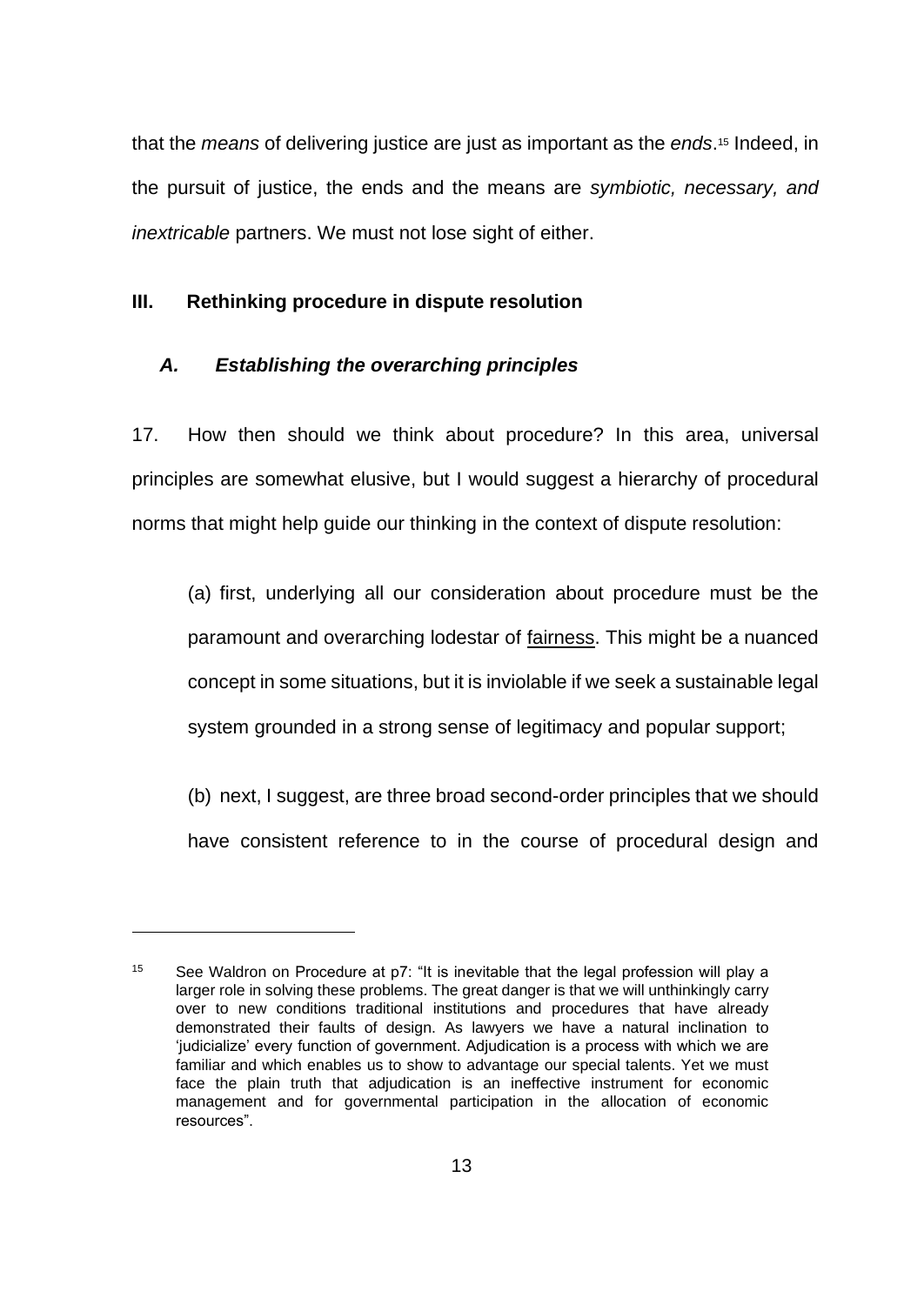that the *means* of delivering justice are just as important as the *ends*. <sup>15</sup> Indeed, in the pursuit of justice, the ends and the means are *symbiotic, necessary, and inextricable* partners. We must not lose sight of either.

## **III. Rethinking procedure in dispute resolution**

# *A. Establishing the overarching principles*

17. How then should we think about procedure? In this area, universal principles are somewhat elusive, but I would suggest a hierarchy of procedural norms that might help guide our thinking in the context of dispute resolution:

(a) first, underlying all our consideration about procedure must be the paramount and overarching lodestar of fairness. This might be a nuanced concept in some situations, but it is inviolable if we seek a sustainable legal system grounded in a strong sense of legitimacy and popular support;

(b) next, I suggest, are three broad second-order principles that we should have consistent reference to in the course of procedural design and

<sup>&</sup>lt;sup>15</sup> See Waldron on Procedure at p7: "It is inevitable that the legal profession will play a larger role in solving these problems. The great danger is that we will unthinkingly carry over to new conditions traditional institutions and procedures that have already demonstrated their faults of design. As lawyers we have a natural inclination to 'judicialize' every function of government. Adjudication is a process with which we are familiar and which enables us to show to advantage our special talents. Yet we must face the plain truth that adjudication is an ineffective instrument for economic management and for governmental participation in the allocation of economic resources".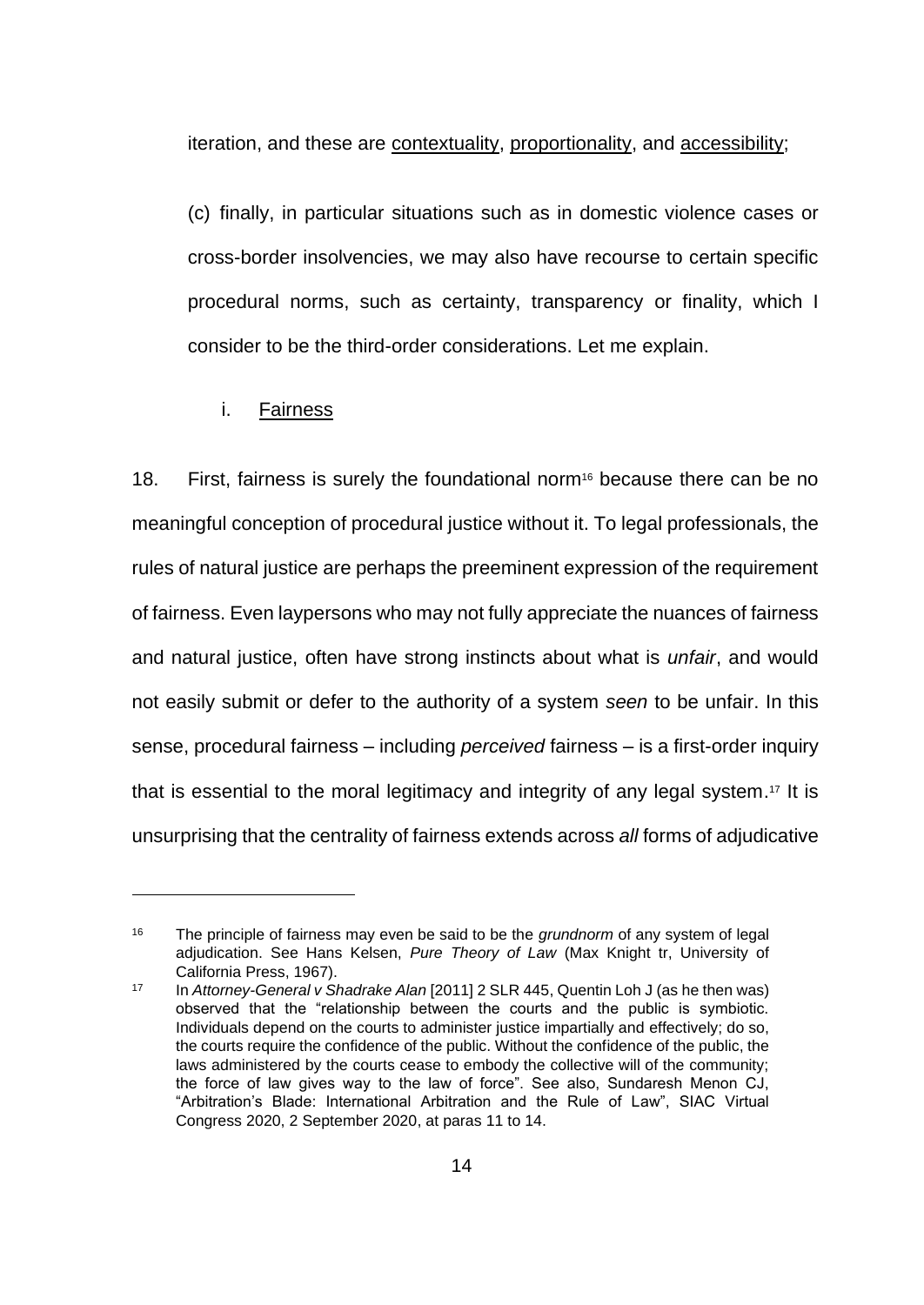iteration, and these are contextuality, proportionality, and accessibility;

(c) finally, in particular situations such as in domestic violence cases or cross-border insolvencies, we may also have recourse to certain specific procedural norms, such as certainty, transparency or finality, which I consider to be the third-order considerations. Let me explain.

## i. Fairness

18. First, fairness is surely the foundational norm<sup>16</sup> because there can be no meaningful conception of procedural justice without it. To legal professionals, the rules of natural justice are perhaps the preeminent expression of the requirement of fairness. Even laypersons who may not fully appreciate the nuances of fairness and natural justice, often have strong instincts about what is *unfair*, and would not easily submit or defer to the authority of a system *seen* to be unfair. In this sense, procedural fairness – including *perceived* fairness – is a first-order inquiry that is essential to the moral legitimacy and integrity of any legal system. <sup>17</sup> It is unsurprising that the centrality of fairness extends across *all* forms of adjudicative

<sup>16</sup> The principle of fairness may even be said to be the *grundnorm* of any system of legal adjudication. See Hans Kelsen, *Pure Theory of Law* (Max Knight tr, University of California Press, 1967).

<sup>17</sup> In *Attorney-General v Shadrake Alan* [2011] 2 SLR 445, Quentin Loh J (as he then was) observed that the "relationship between the courts and the public is symbiotic. Individuals depend on the courts to administer justice impartially and effectively; do so, the courts require the confidence of the public. Without the confidence of the public, the laws administered by the courts cease to embody the collective will of the community; the force of law gives way to the law of force". See also, Sundaresh Menon CJ, "Arbitration's Blade: International Arbitration and the Rule of Law", SIAC Virtual Congress 2020, 2 September 2020, at paras 11 to 14.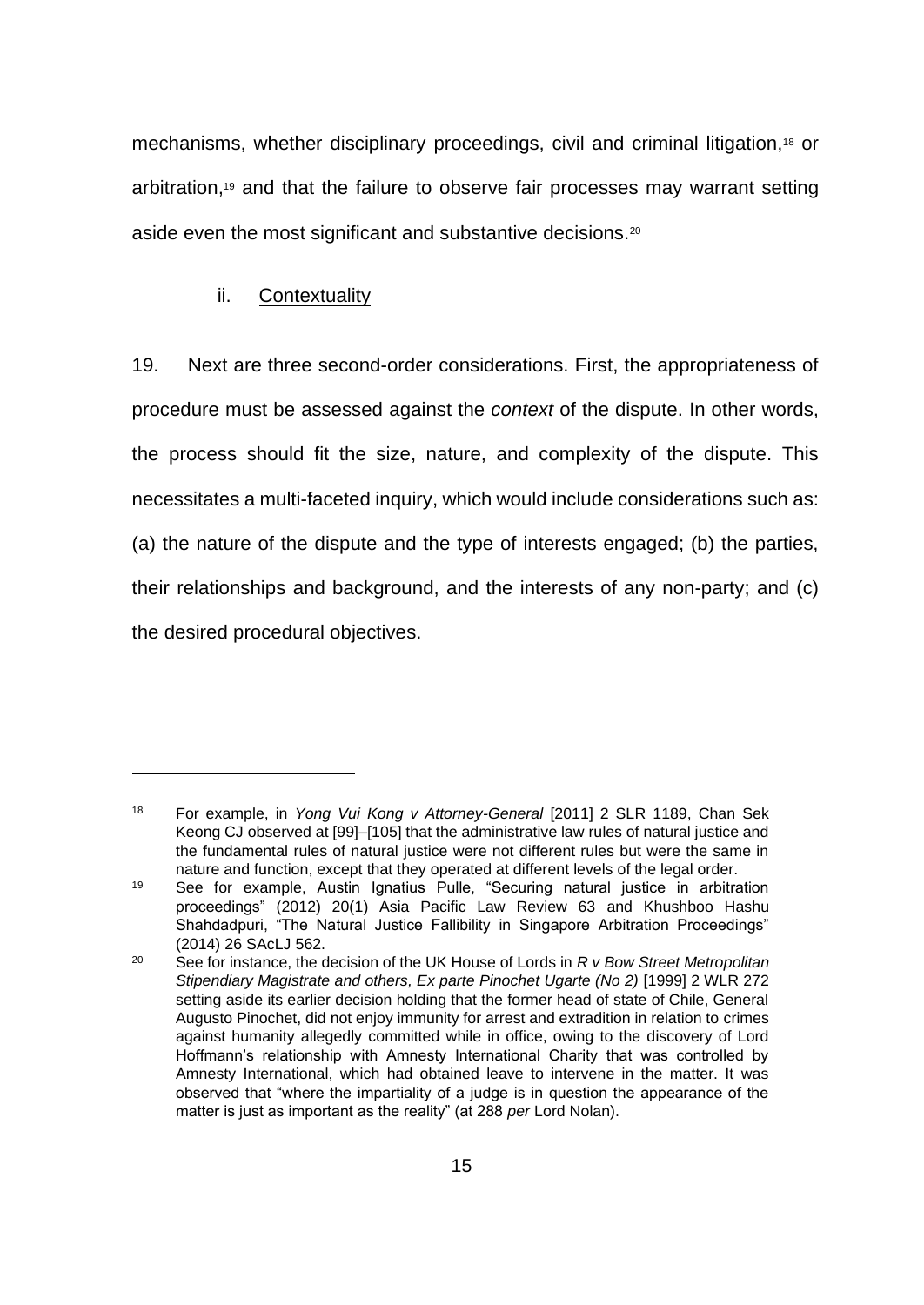mechanisms, whether disciplinary proceedings, civil and criminal litigation,<sup>18</sup> or arbitration,<sup>19</sup> and that the failure to observe fair processes may warrant setting aside even the most significant and substantive decisions.<sup>20</sup>

# ii. Contextuality

19. Next are three second-order considerations. First, the appropriateness of procedure must be assessed against the *context* of the dispute. In other words, the process should fit the size, nature, and complexity of the dispute. This necessitates a multi-faceted inquiry, which would include considerations such as: (a) the nature of the dispute and the type of interests engaged; (b) the parties, their relationships and background, and the interests of any non-party; and (c) the desired procedural objectives.

<sup>18</sup> For example, in *Yong Vui Kong v Attorney-General* [2011] 2 SLR 1189, Chan Sek Keong CJ observed at [99]–[105] that the administrative law rules of natural justice and the fundamental rules of natural justice were not different rules but were the same in nature and function, except that they operated at different levels of the legal order.

<sup>&</sup>lt;sup>19</sup> See for example, Austin Ignatius Pulle, "Securing natural justice in arbitration proceedings" (2012) 20(1) Asia Pacific Law Review 63 and Khushboo Hashu Shahdadpuri, "The Natural Justice Fallibility in Singapore Arbitration Proceedings" (2014) 26 SAcLJ 562.

<sup>20</sup> See for instance, the decision of the UK House of Lords in *R v Bow Street Metropolitan Stipendiary Magistrate and others, Ex parte Pinochet Ugarte (No 2)* [1999] 2 WLR 272 setting aside its earlier decision holding that the former head of state of Chile, General Augusto Pinochet, did not enjoy immunity for arrest and extradition in relation to crimes against humanity allegedly committed while in office, owing to the discovery of Lord Hoffmann's relationship with Amnesty International Charity that was controlled by Amnesty International, which had obtained leave to intervene in the matter. It was observed that "where the impartiality of a judge is in question the appearance of the matter is just as important as the reality" (at 288 *per* Lord Nolan).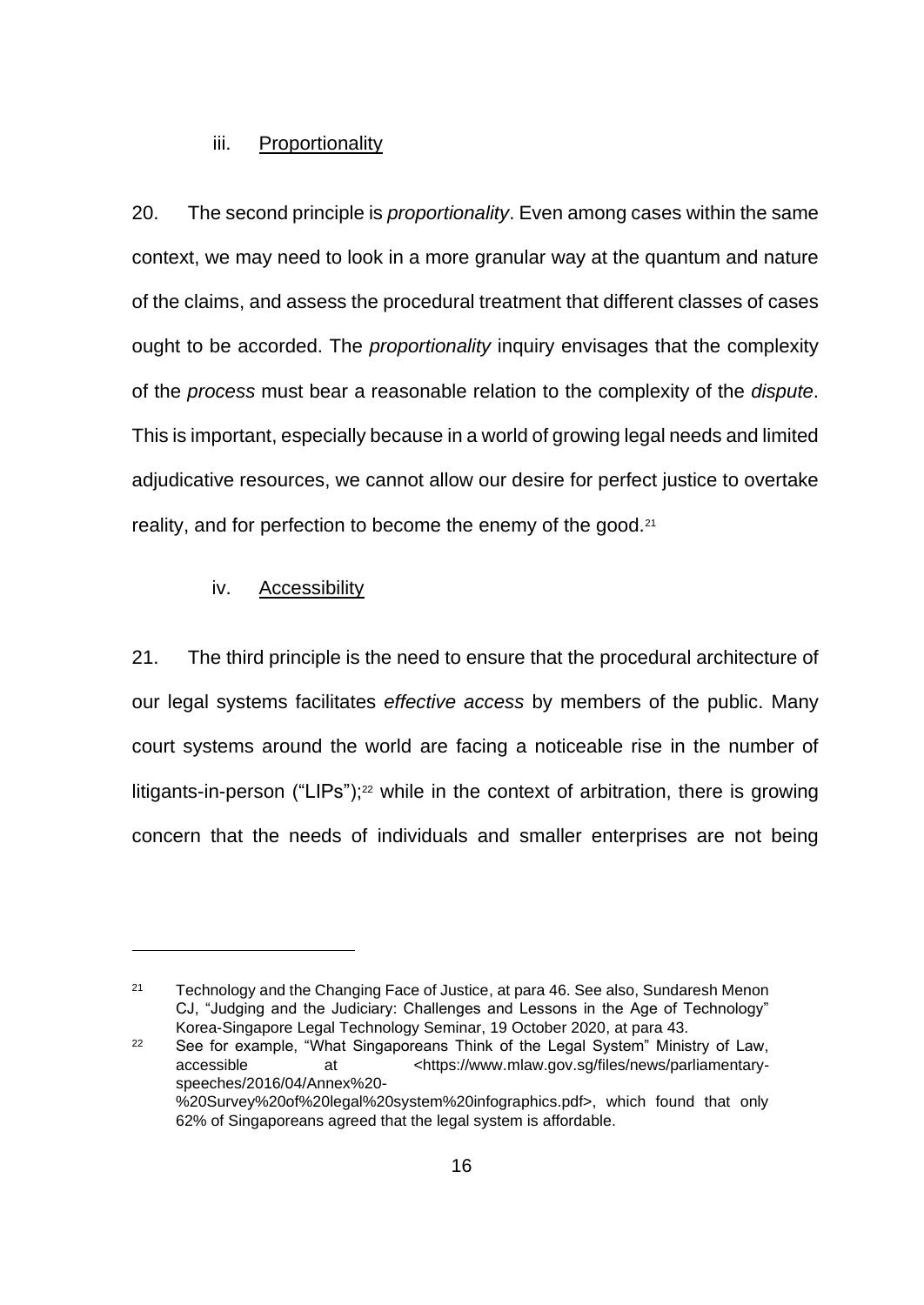#### iii. Proportionality

20. The second principle is *proportionality*. Even among cases within the same context, we may need to look in a more granular way at the quantum and nature of the claims, and assess the procedural treatment that different classes of cases ought to be accorded. The *proportionality* inquiry envisages that the complexity of the *process* must bear a reasonable relation to the complexity of the *dispute*. This is important, especially because in a world of growing legal needs and limited adjudicative resources, we cannot allow our desire for perfect justice to overtake reality, and for perfection to become the enemy of the good.<sup>21</sup>

#### iv. Accessibility

21. The third principle is the need to ensure that the procedural architecture of our legal systems facilitates *effective access* by members of the public. Many court systems around the world are facing a noticeable rise in the number of litigants-in-person ("LIPs");<sup>22</sup> while in the context of arbitration, there is growing concern that the needs of individuals and smaller enterprises are not being

<sup>&</sup>lt;sup>21</sup> Technology and the Changing Face of Justice, at para 46. See also, Sundaresh Menon CJ, "Judging and the Judiciary: Challenges and Lessons in the Age of Technology" Korea-Singapore Legal Technology Seminar, 19 October 2020, at para 43.

<sup>&</sup>lt;sup>22</sup> See for example, "What Singaporeans Think of the Legal System" Ministry of Law, accessible at <https://www.mlaw.gov.sg/files/news/parliamentaryspeeches/2016/04/Annex%20- %20Survey%20of%20legal%20system%20infographics.pdf>, which found that only 62% of Singaporeans agreed that the legal system is affordable.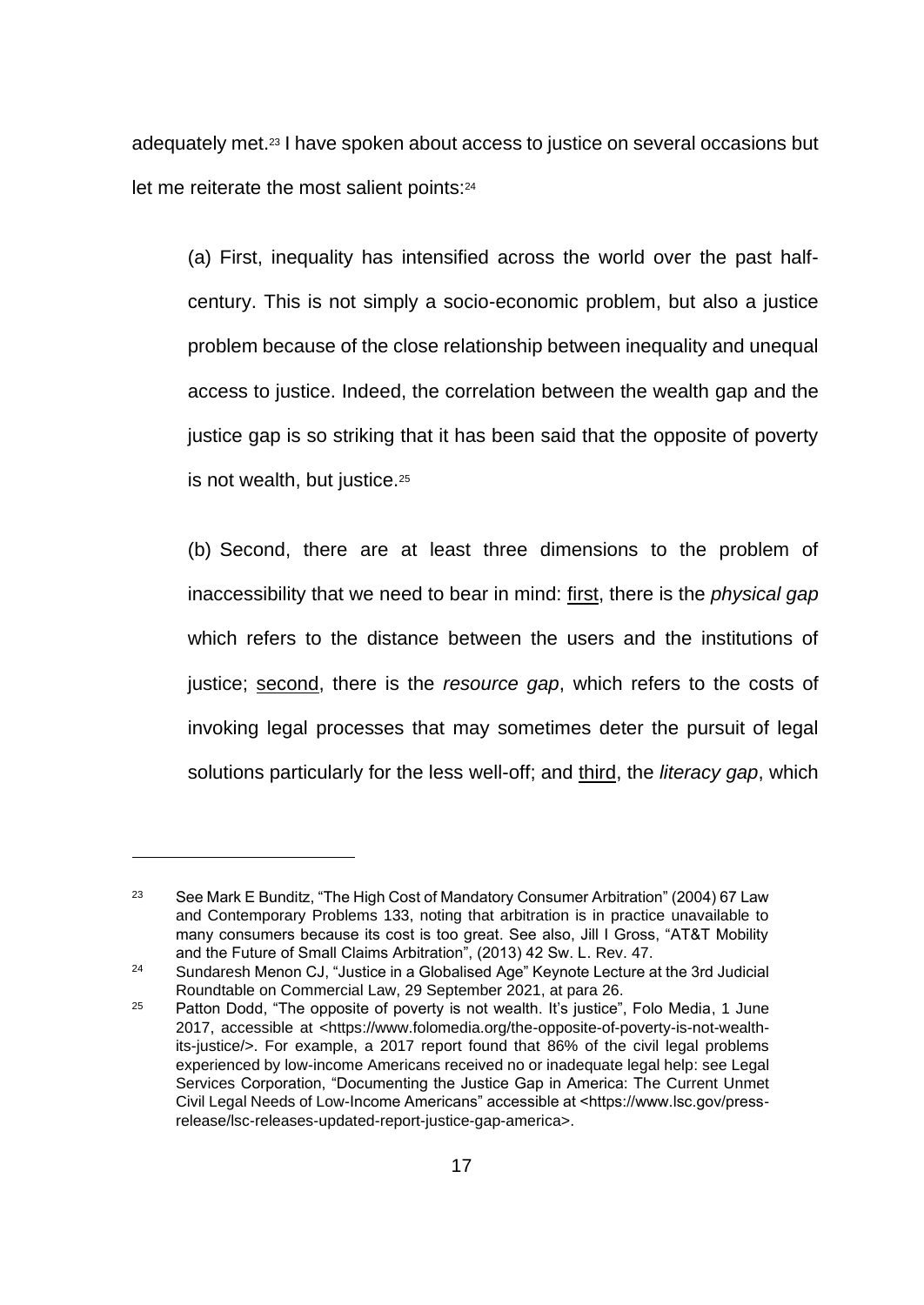adequately met.<sup>23</sup> I have spoken about access to justice on several occasions but let me reiterate the most salient points:<sup>24</sup>

(a) First, inequality has intensified across the world over the past halfcentury. This is not simply a socio-economic problem, but also a justice problem because of the close relationship between inequality and unequal access to justice. Indeed, the correlation between the wealth gap and the justice gap is so striking that it has been said that the opposite of poverty is not wealth, but justice.<sup>25</sup>

(b) Second, there are at least three dimensions to the problem of inaccessibility that we need to bear in mind: first, there is the *physical gap* which refers to the distance between the users and the institutions of justice; second, there is the *resource gap*, which refers to the costs of invoking legal processes that may sometimes deter the pursuit of legal solutions particularly for the less well-off; and third, the *literacy gap*, which

<sup>&</sup>lt;sup>23</sup> See Mark E Bunditz, "The High Cost of Mandatory Consumer Arbitration" (2004) 67 Law and Contemporary Problems 133, noting that arbitration is in practice unavailable to many consumers because its cost is too great. See also, Jill I Gross, "AT&T Mobility and the Future of Small Claims Arbitration", (2013) 42 Sw. L. Rev. 47.

<sup>24</sup> Sundaresh Menon CJ, "Justice in a Globalised Age" Keynote Lecture at the 3rd Judicial Roundtable on Commercial Law, 29 September 2021, at para 26.

<sup>&</sup>lt;sup>25</sup> Patton Dodd, "The opposite of poverty is not wealth. It's justice", Folo Media, 1 June 2017, accessible at <https://www.folomedia.org/the-opposite-of-poverty-is-not-wealthits-justice/>. For example, a 2017 report found that 86% of the civil legal problems experienced by low-income Americans received no or inadequate legal help: see Legal Services Corporation, "Documenting the Justice Gap in America: The Current Unmet Civil Legal Needs of Low-Income Americans" accessible at <https://www.lsc.gov/pressrelease/lsc-releases-updated-report-justice-gap-america>.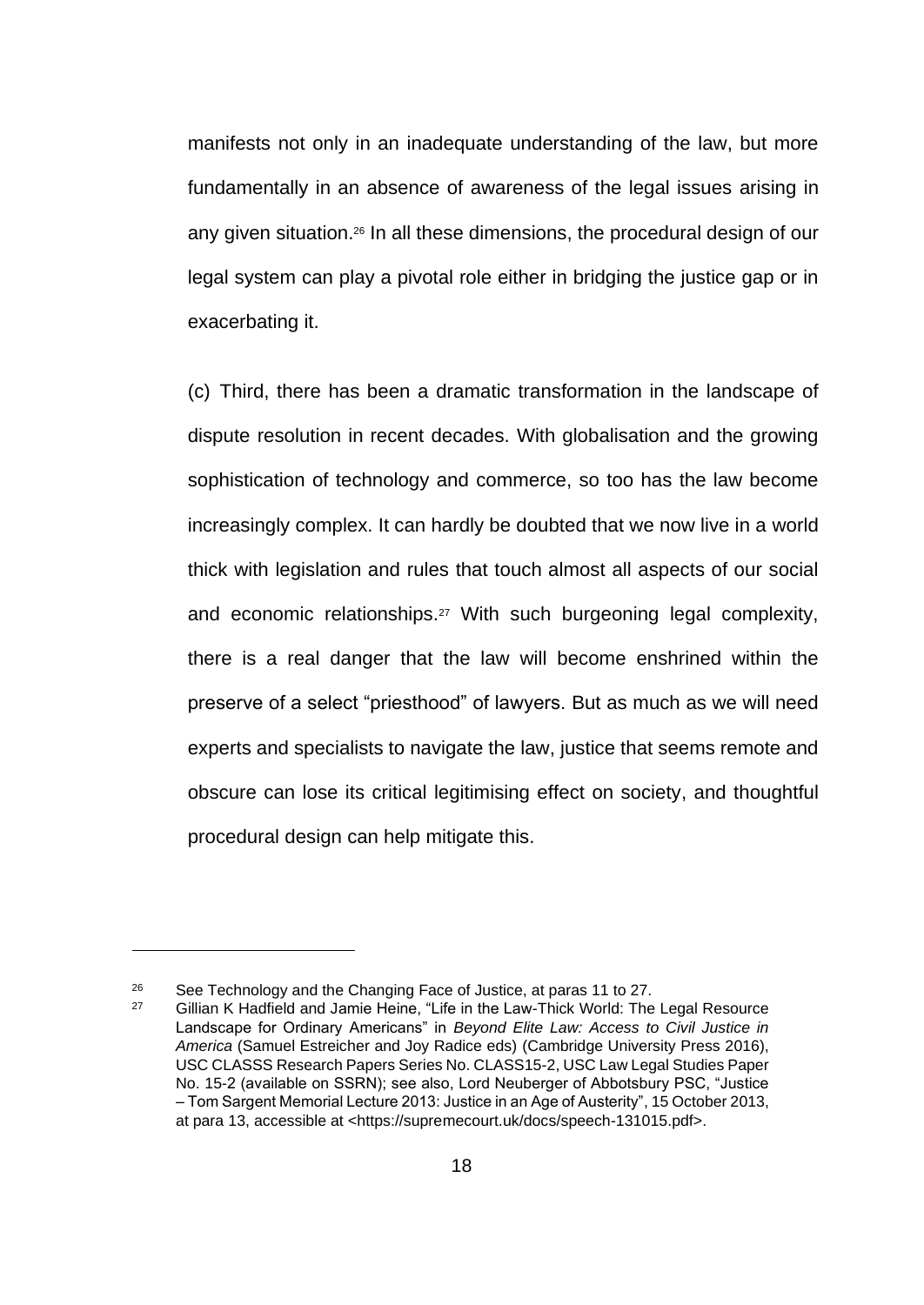manifests not only in an inadequate understanding of the law, but more fundamentally in an absence of awareness of the legal issues arising in any given situation.<sup>26</sup> In all these dimensions, the procedural design of our legal system can play a pivotal role either in bridging the justice gap or in exacerbating it.

(c) Third, there has been a dramatic transformation in the landscape of dispute resolution in recent decades. With globalisation and the growing sophistication of technology and commerce, so too has the law become increasingly complex. It can hardly be doubted that we now live in a world thick with legislation and rules that touch almost all aspects of our social and economic relationships.<sup>27</sup> With such burgeoning legal complexity, there is a real danger that the law will become enshrined within the preserve of a select "priesthood" of lawyers. But as much as we will need experts and specialists to navigate the law, justice that seems remote and obscure can lose its critical legitimising effect on society, and thoughtful procedural design can help mitigate this.

<sup>&</sup>lt;sup>26</sup> See Technology and the Changing Face of Justice, at paras 11 to 27.<br><sup>27</sup> Gillian K Hadfield and Jamie Heine. "Life in the Law-Thick World: The

Gillian K Hadfield and Jamie Heine, "Life in the Law-Thick World: The Legal Resource Landscape for Ordinary Americans" in *Beyond Elite Law: Access to Civil Justice in America* (Samuel Estreicher and Joy Radice eds) (Cambridge University Press 2016), USC CLASSS Research Papers Series No. CLASS15-2, USC Law Legal Studies Paper No. 15-2 (available on SSRN); see also, Lord Neuberger of Abbotsbury PSC, "Justice – Tom Sargent Memorial Lecture 2013: Justice in an Age of Austerity", 15 October 2013, at para 13, accessible at <https://supremecourt.uk/docs/speech-131015.pdf>.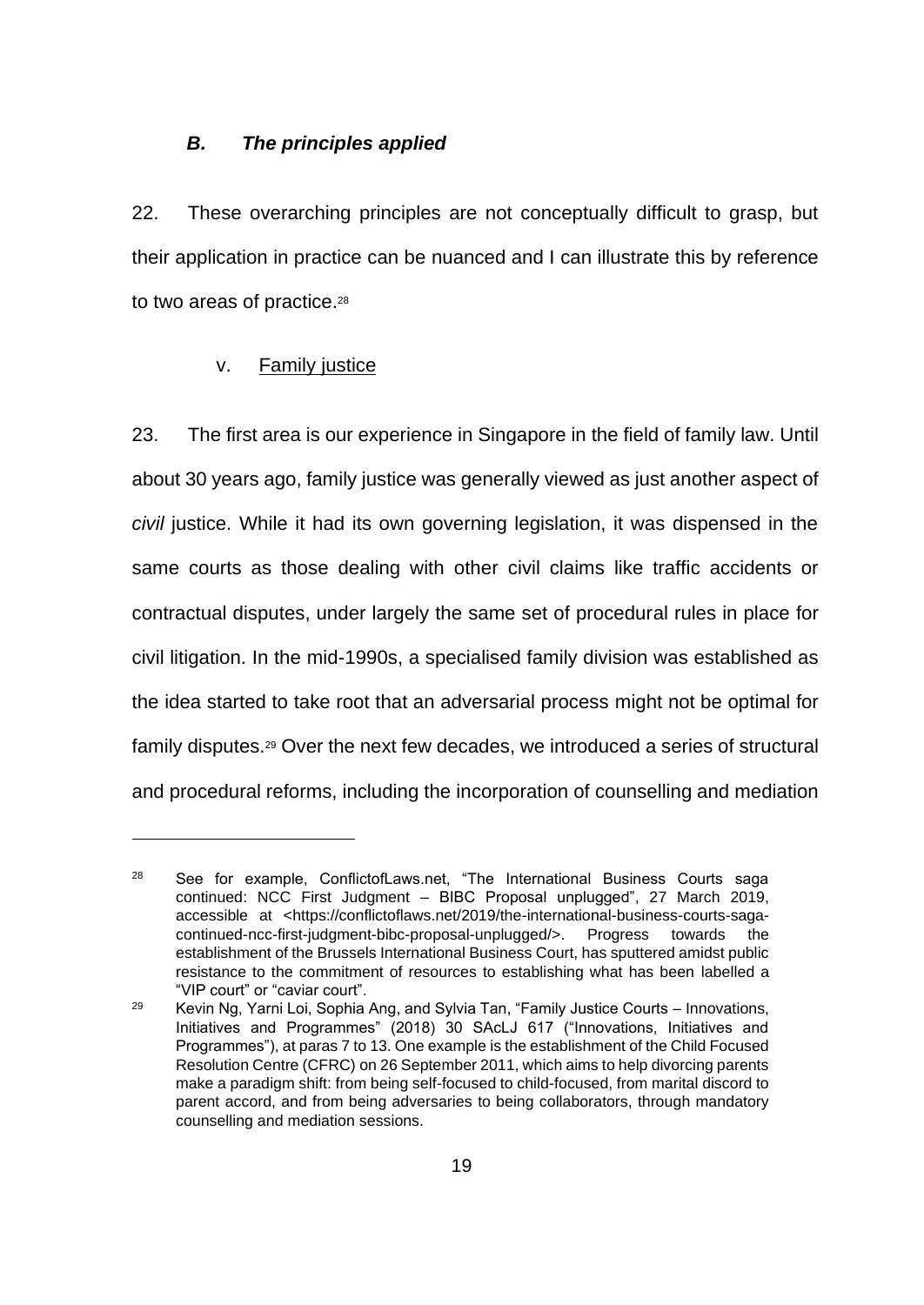#### *B. The principles applied*

22. These overarching principles are not conceptually difficult to grasp, but their application in practice can be nuanced and I can illustrate this by reference to two areas of practice.<sup>28</sup>

## v. Family justice

23. The first area is our experience in Singapore in the field of family law. Until about 30 years ago, family justice was generally viewed as just another aspect of *civil* justice. While it had its own governing legislation, it was dispensed in the same courts as those dealing with other civil claims like traffic accidents or contractual disputes, under largely the same set of procedural rules in place for civil litigation. In the mid-1990s, a specialised family division was established as the idea started to take root that an adversarial process might not be optimal for family disputes.<sup>29</sup> Over the next few decades, we introduced a series of structural and procedural reforms, including the incorporation of counselling and mediation

<sup>&</sup>lt;sup>28</sup> See for example, ConflictofLaws.net, "The International Business Courts saga continued: NCC First Judgment – BIBC Proposal unplugged", 27 March 2019, accessible at <https://conflictoflaws.net/2019/the-international-business-courts-sagacontinued-ncc-first-judgment-bibc-proposal-unplugged/>. Progress towards the establishment of the Brussels International Business Court, has sputtered amidst public resistance to the commitment of resources to establishing what has been labelled a "VIP court" or "caviar court".

<sup>29</sup> Kevin Ng, Yarni Loi, Sophia Ang, and Sylvia Tan, "Family Justice Courts – Innovations, Initiatives and Programmes" (2018) 30 SAcLJ 617 ("Innovations, Initiatives and Programmes"), at paras 7 to 13. One example is the establishment of the Child Focused Resolution Centre (CFRC) on 26 September 2011, which aims to help divorcing parents make a paradigm shift: from being self-focused to child-focused, from marital discord to parent accord, and from being adversaries to being collaborators, through mandatory counselling and mediation sessions.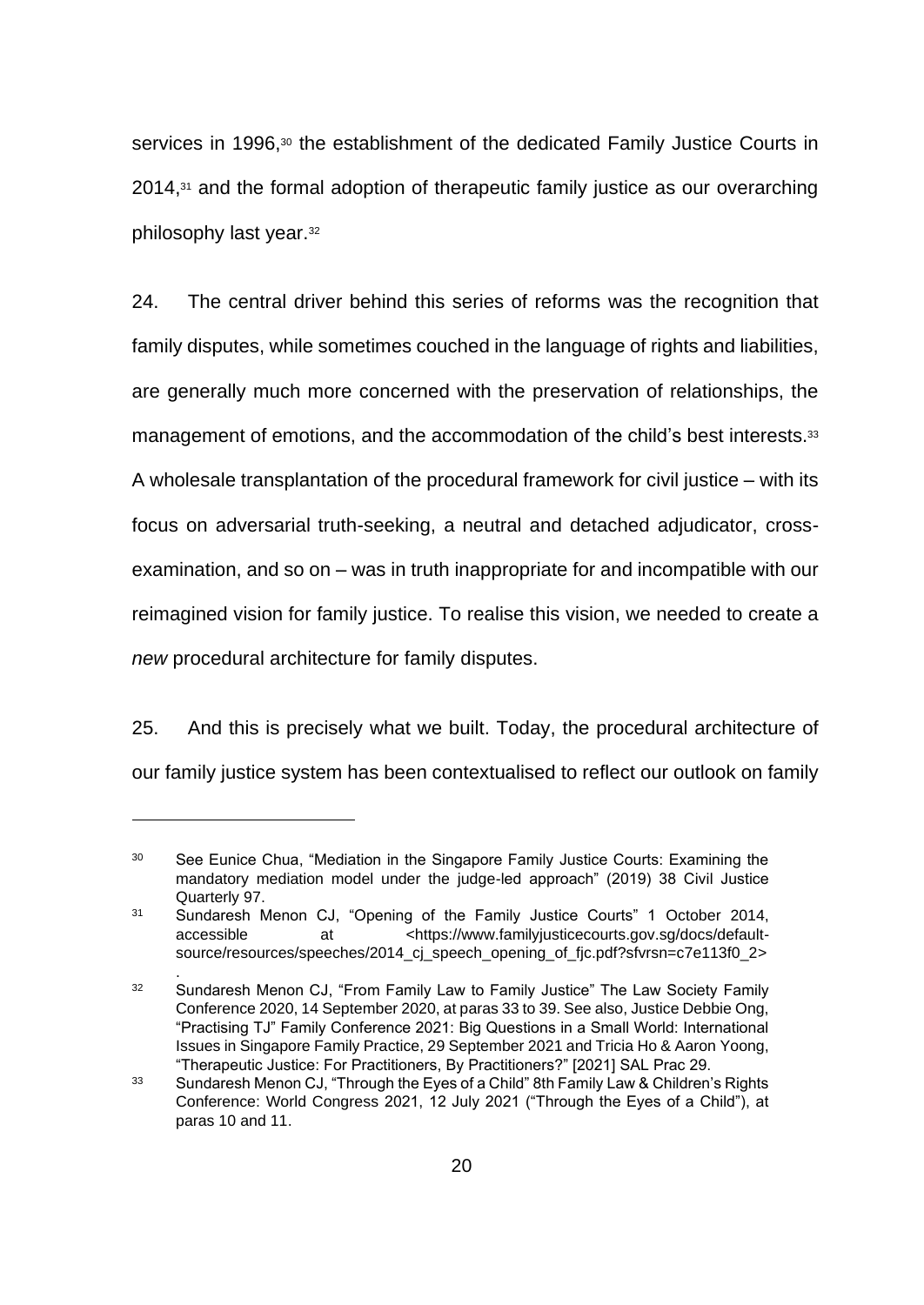services in 1996,<sup>30</sup> the establishment of the dedicated Family Justice Courts in 2014,<sup>31</sup> and the formal adoption of therapeutic family justice as our overarching philosophy last year.<sup>32</sup>

24. The central driver behind this series of reforms was the recognition that family disputes, while sometimes couched in the language of rights and liabilities, are generally much more concerned with the preservation of relationships, the management of emotions, and the accommodation of the child's best interests.<sup>33</sup> A wholesale transplantation of the procedural framework for civil justice – with its focus on adversarial truth-seeking, a neutral and detached adjudicator, crossexamination, and so on – was in truth inappropriate for and incompatible with our reimagined vision for family justice. To realise this vision, we needed to create a *new* procedural architecture for family disputes.

25. And this is precisely what we built. Today, the procedural architecture of our family justice system has been contextualised to reflect our outlook on family

<sup>&</sup>lt;sup>30</sup> See Eunice Chua, "Mediation in the Singapore Family Justice Courts: Examining the mandatory mediation model under the judge-led approach" (2019) 38 Civil Justice Quarterly 97.

<sup>31</sup> Sundaresh Menon CJ, "Opening of the Family Justice Courts" 1 October 2014, accessible at <https://www.familyjusticecourts.gov.sg/docs/defaultsource/resources/speeches/2014\_cj\_speech\_opening\_of\_fjc.pdf?sfvrsn=c7e113f0\_2>

<sup>.</sup>  <sup>32</sup> Sundaresh Menon CJ, "From Family Law to Family Justice" The Law Society Family Conference 2020, 14 September 2020, at paras 33 to 39. See also, Justice Debbie Ong, "Practising TJ" Family Conference 2021: Big Questions in a Small World: International Issues in Singapore Family Practice, 29 September 2021 and Tricia Ho & Aaron Yoong, "Therapeutic Justice: For Practitioners, By Practitioners?" [2021] SAL Prac 29.

<sup>&</sup>lt;sup>33</sup> Sundaresh Menon CJ, "Through the Eyes of a Child" 8th Family Law & Children's Rights Conference: World Congress 2021, 12 July 2021 ("Through the Eyes of a Child"), at paras 10 and 11.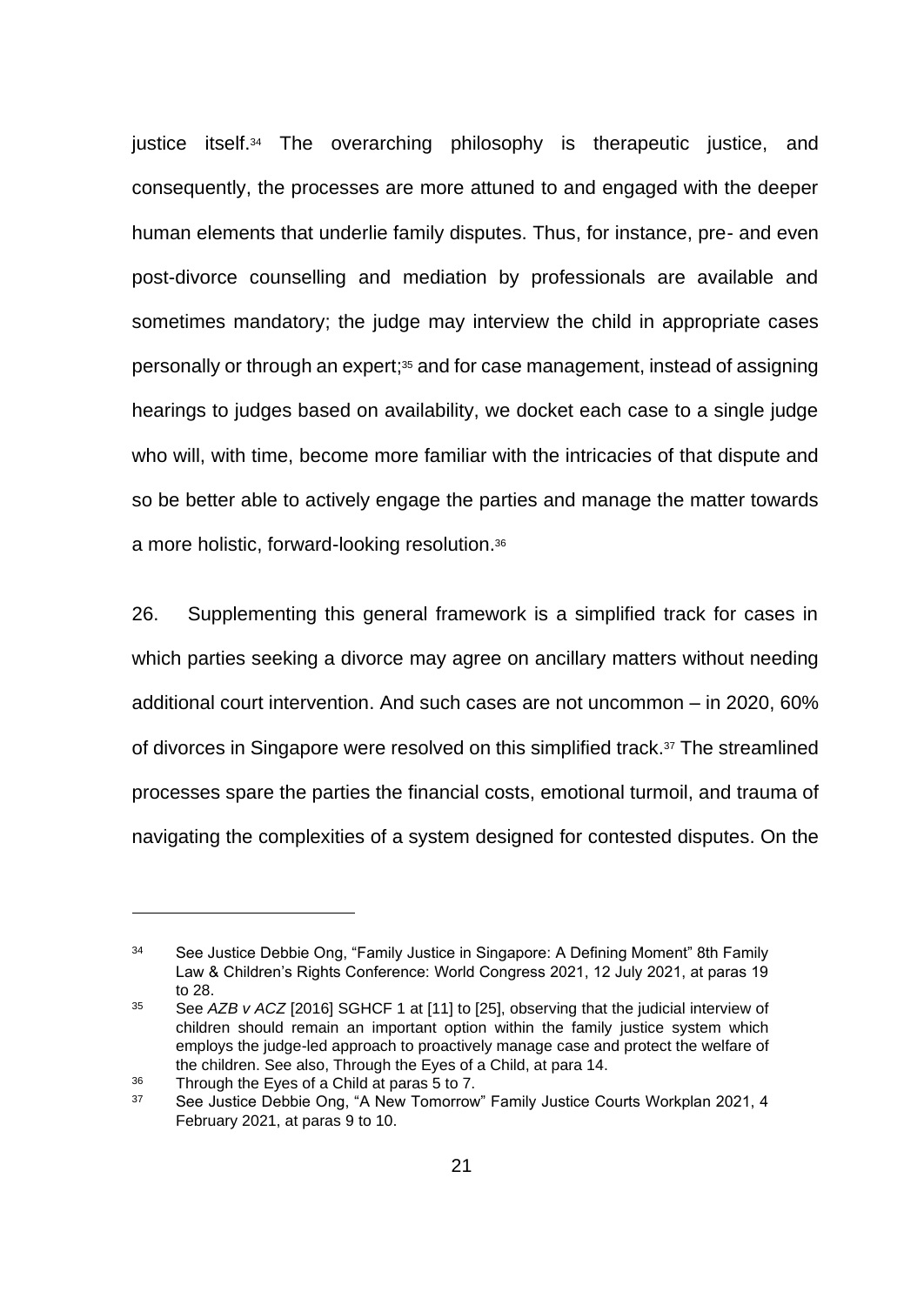justice itself.<sup>34</sup> The overarching philosophy is therapeutic justice, and consequently, the processes are more attuned to and engaged with the deeper human elements that underlie family disputes. Thus, for instance, pre- and even post-divorce counselling and mediation by professionals are available and sometimes mandatory; the judge may interview the child in appropriate cases personally or through an expert; <sup>35</sup> and for case management, instead of assigning hearings to judges based on availability, we docket each case to a single judge who will, with time, become more familiar with the intricacies of that dispute and so be better able to actively engage the parties and manage the matter towards a more holistic, forward-looking resolution.<sup>36</sup>

26. Supplementing this general framework is a simplified track for cases in which parties seeking a divorce may agree on ancillary matters without needing additional court intervention. And such cases are not uncommon – in 2020, 60% of divorces in Singapore were resolved on this simplified track.<sup>37</sup> The streamlined processes spare the parties the financial costs, emotional turmoil, and trauma of navigating the complexities of a system designed for contested disputes. On the

<sup>34</sup> See Justice Debbie Ong, "Family Justice in Singapore: A Defining Moment" 8th Family Law & Children's Rights Conference: World Congress 2021, 12 July 2021, at paras 19 to 28.

<sup>35</sup> See *AZB v ACZ* [2016] SGHCF 1 at [11] to [25], observing that the judicial interview of children should remain an important option within the family justice system which employs the judge-led approach to proactively manage case and protect the welfare of the children. See also, Through the Eyes of a Child, at para 14.

<sup>36</sup> Through the Eyes of a Child at paras 5 to 7.

<sup>&</sup>lt;sup>37</sup> See Justice Debbie Ong, "A New Tomorrow" Family Justice Courts Workplan 2021, 4 February 2021, at paras 9 to 10.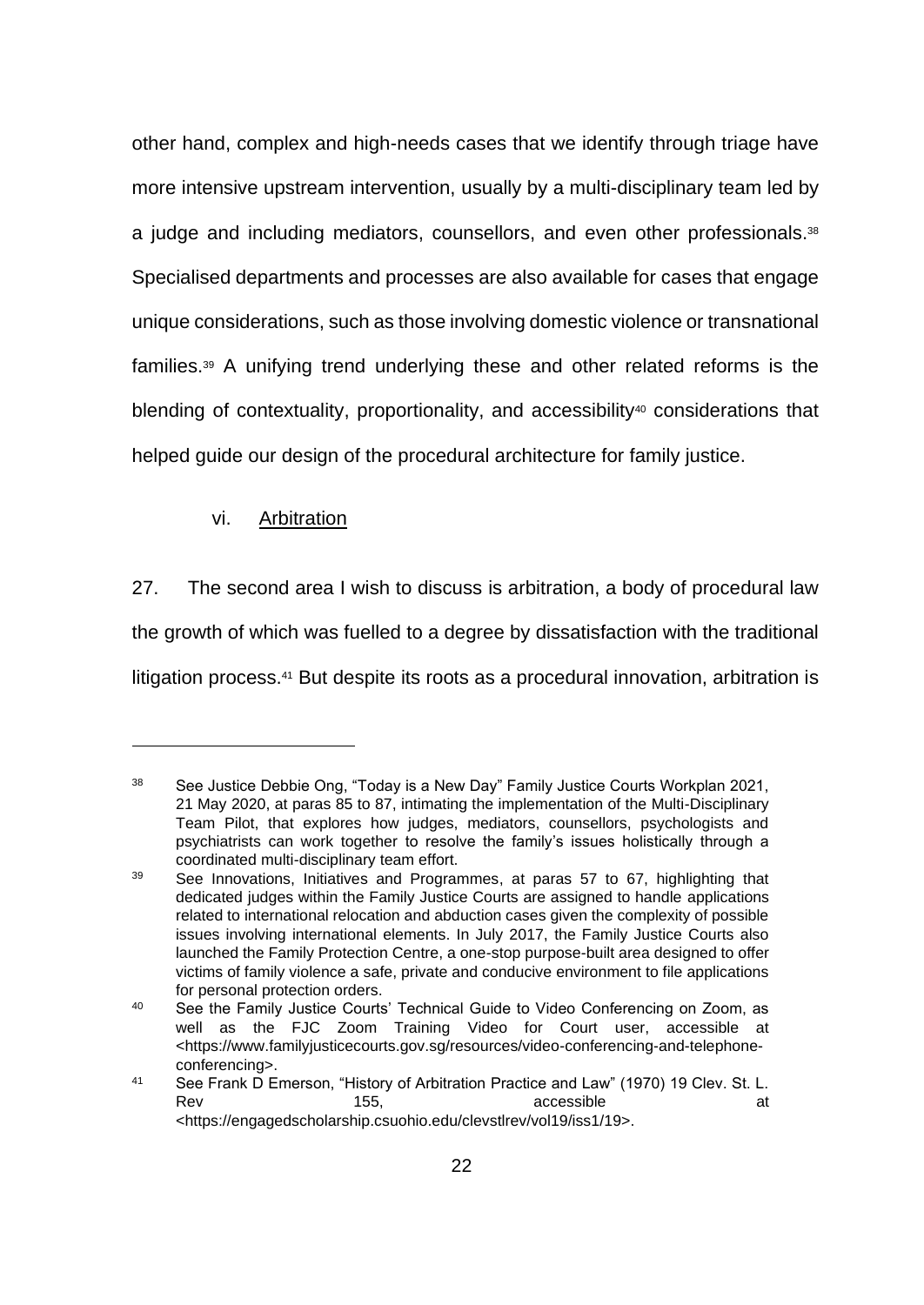other hand, complex and high-needs cases that we identify through triage have more intensive upstream intervention, usually by a multi-disciplinary team led by a judge and including mediators, counsellors, and even other professionals.<sup>38</sup> Specialised departments and processes are also available for cases that engage unique considerations, such as those involving domestic violence or transnational families.<sup>39</sup> A unifying trend underlying these and other related reforms is the blending of contextuality, proportionality, and accessibility<sup>40</sup> considerations that helped guide our design of the procedural architecture for family justice.

# vi. Arbitration

27. The second area I wish to discuss is arbitration, a body of procedural law the growth of which was fuelled to a degree by dissatisfaction with the traditional litigation process.<sup>41</sup> But despite its roots as a procedural innovation, arbitration is

<sup>38</sup> See Justice Debbie Ong, "Today is a New Day" Family Justice Courts Workplan 2021, 21 May 2020, at paras 85 to 87, intimating the implementation of the Multi-Disciplinary Team Pilot, that explores how judges, mediators, counsellors, psychologists and psychiatrists can work together to resolve the family's issues holistically through a coordinated multi-disciplinary team effort.

<sup>39</sup> See Innovations, Initiatives and Programmes, at paras 57 to 67, highlighting that dedicated judges within the Family Justice Courts are assigned to handle applications related to international relocation and abduction cases given the complexity of possible issues involving international elements. In July 2017, the Family Justice Courts also launched the Family Protection Centre, a one-stop purpose-built area designed to offer victims of family violence a safe, private and conducive environment to file applications for personal protection orders.

<sup>40</sup> See the Family Justice Courts' Technical Guide to Video Conferencing on Zoom, as well as the FJC Zoom Training Video for Court user, accessible at <https://www.familyjusticecourts.gov.sg/resources/video-conferencing-and-telephoneconferencing>.

<sup>41</sup> See Frank D Emerson, "History of Arbitration Practice and Law" (1970) 19 Clev. St. L. Rev and the 155, accessible and the state at the state at the state at the state at the state at the state at  $\alpha$ <https://engagedscholarship.csuohio.edu/clevstlrev/vol19/iss1/19>.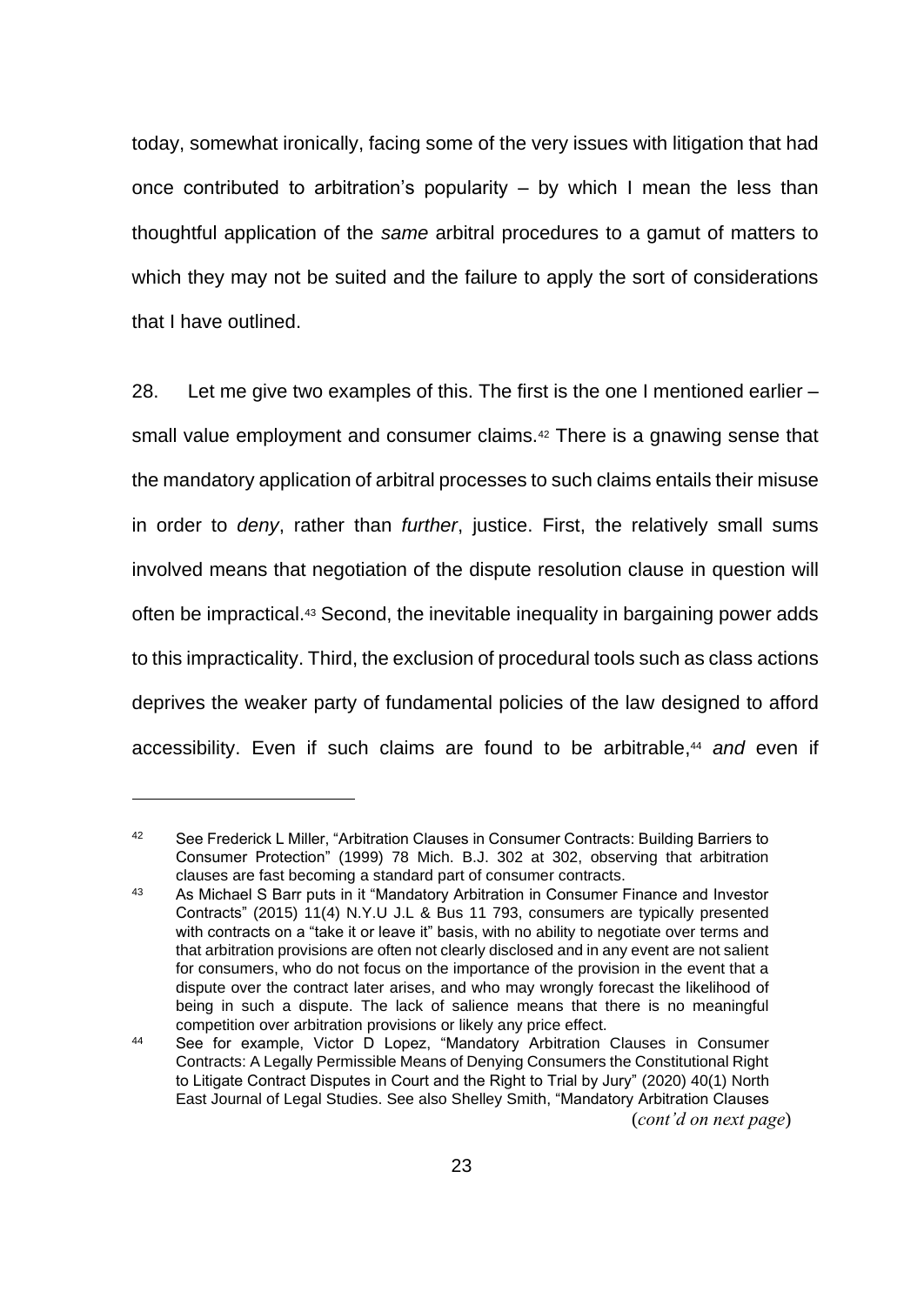today, somewhat ironically, facing some of the very issues with litigation that had once contributed to arbitration's popularity – by which I mean the less than thoughtful application of the *same* arbitral procedures to a gamut of matters to which they may not be suited and the failure to apply the sort of considerations that I have outlined.

28. Let me give two examples of this. The first is the one I mentioned earlier – small value employment and consumer claims.<sup>42</sup> There is a gnawing sense that the mandatory application of arbitral processes to such claims entails their misuse in order to *deny*, rather than *further*, justice. First, the relatively small sums involved means that negotiation of the dispute resolution clause in question will often be impractical.<sup>43</sup> Second, the inevitable inequality in bargaining power adds to this impracticality. Third, the exclusion of procedural tools such as class actions deprives the weaker party of fundamental policies of the law designed to afford accessibility. Even if such claims are found to be arbitrable, <sup>44</sup> *and* even if

<sup>42</sup> See Frederick L Miller, "Arbitration Clauses in Consumer Contracts: Building Barriers to Consumer Protection" (1999) 78 Mich. B.J. 302 at 302, observing that arbitration clauses are fast becoming a standard part of consumer contracts.

<sup>43</sup> As Michael S Barr puts in it "Mandatory Arbitration in Consumer Finance and Investor Contracts" (2015) 11(4) N.Y.U J.L & Bus 11 793, consumers are typically presented with contracts on a "take it or leave it" basis, with no ability to negotiate over terms and that arbitration provisions are often not clearly disclosed and in any event are not salient for consumers, who do not focus on the importance of the provision in the event that a dispute over the contract later arises, and who may wrongly forecast the likelihood of being in such a dispute. The lack of salience means that there is no meaningful competition over arbitration provisions or likely any price effect.

<sup>44</sup> See for example, Victor D Lopez, "Mandatory Arbitration Clauses in Consumer Contracts: A Legally Permissible Means of Denying Consumers the Constitutional Right to Litigate Contract Disputes in Court and the Right to Trial by Jury" (2020) 40(1) North East Journal of Legal Studies. See also Shelley Smith, "Mandatory Arbitration Clauses (*cont'd on next page*)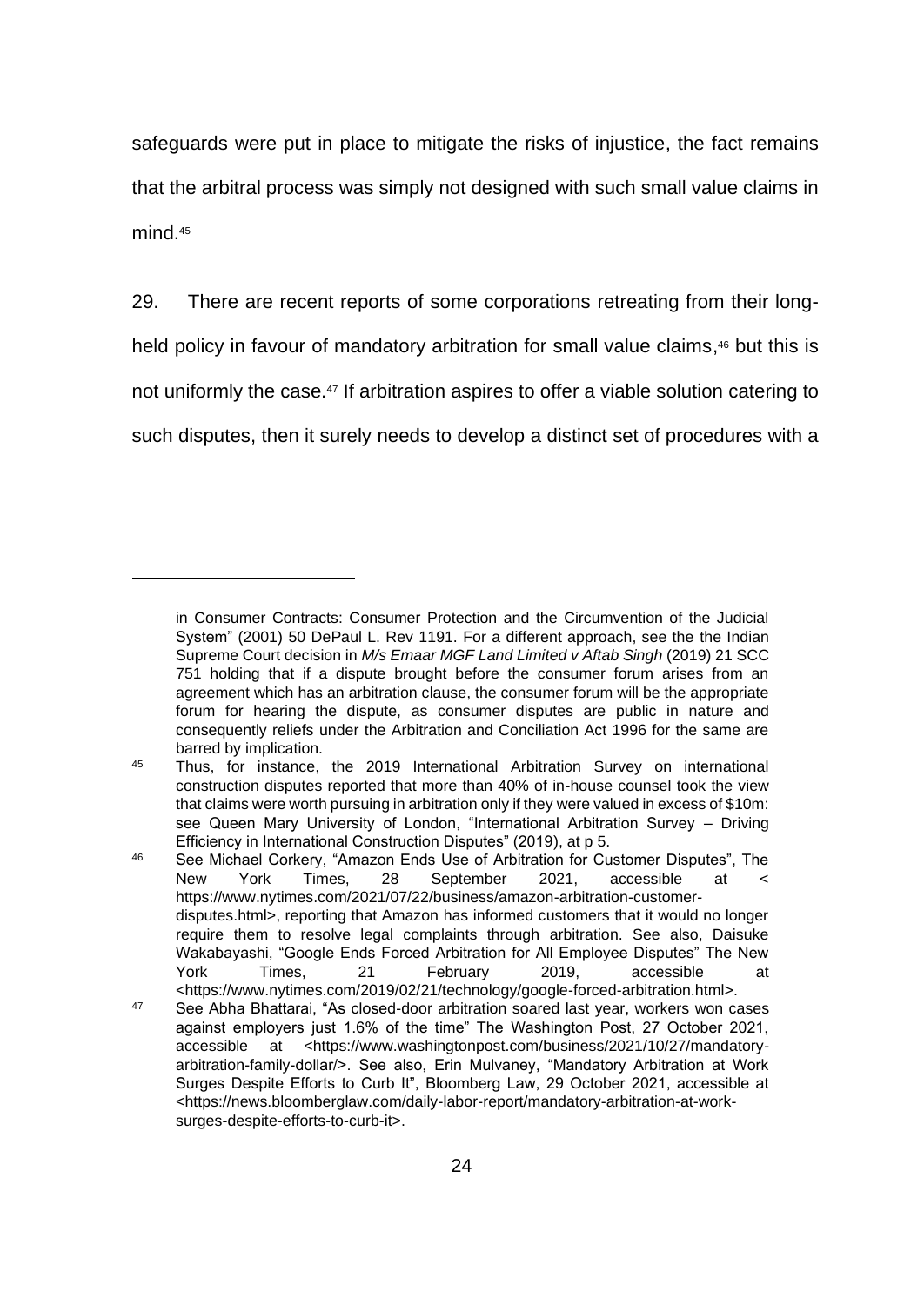safeguards were put in place to mitigate the risks of injustice, the fact remains that the arbitral process was simply not designed with such small value claims in mind. 45

29. There are recent reports of some corporations retreating from their long-

held policy in favour of mandatory arbitration for small value claims,<sup>46</sup> but this is

not uniformly the case.<sup>47</sup> If arbitration aspires to offer a viable solution catering to

such disputes, then it surely needs to develop a distinct set of procedures with a

in Consumer Contracts: Consumer Protection and the Circumvention of the Judicial System" (2001) 50 DePaul L. Rev 1191. For a different approach, see the the Indian Supreme Court decision in *M/s Emaar MGF Land Limited v Aftab Singh* (2019) 21 SCC 751 holding that if a dispute brought before the consumer forum arises from an agreement which has an arbitration clause, the consumer forum will be the appropriate forum for hearing the dispute, as consumer disputes are public in nature and consequently reliefs under the Arbitration and Conciliation Act 1996 for the same are barred by implication.

<sup>45</sup> Thus, for instance, the 2019 International Arbitration Survey on international construction disputes reported that more than 40% of in-house counsel took the view that claims were worth pursuing in arbitration only if they were valued in excess of \$10m: see Queen Mary University of London, "International Arbitration Survey – Driving Efficiency in International Construction Disputes" (2019), at p 5.

<sup>46</sup> See Michael Corkery, "Amazon Ends Use of Arbitration for Customer Disputes", The New York Times, 28 September 2021, accessible at < https://www.nytimes.com/2021/07/22/business/amazon-arbitration-customerdisputes.html>, reporting that Amazon has informed customers that it would no longer require them to resolve legal complaints through arbitration. See also, Daisuke Wakabayashi, "Google Ends Forced Arbitration for All Employee Disputes" The New York Times, 21 February 2019, accessible at <https://www.nytimes.com/2019/02/21/technology/google-forced-arbitration.html>.

<sup>47</sup> See Abha Bhattarai, "As closed-door arbitration soared last year, workers won cases against employers just 1.6% of the time" The Washington Post, 27 October 2021, accessible at <https://www.washingtonpost.com/business/2021/10/27/mandatoryarbitration-family-dollar/>. See also, Erin Mulvaney, "Mandatory Arbitration at Work Surges Despite Efforts to Curb It", Bloomberg Law, 29 October 2021, accessible at <https://news.bloomberglaw.com/daily-labor-report/mandatory-arbitration-at-worksurges-despite-efforts-to-curb-it>.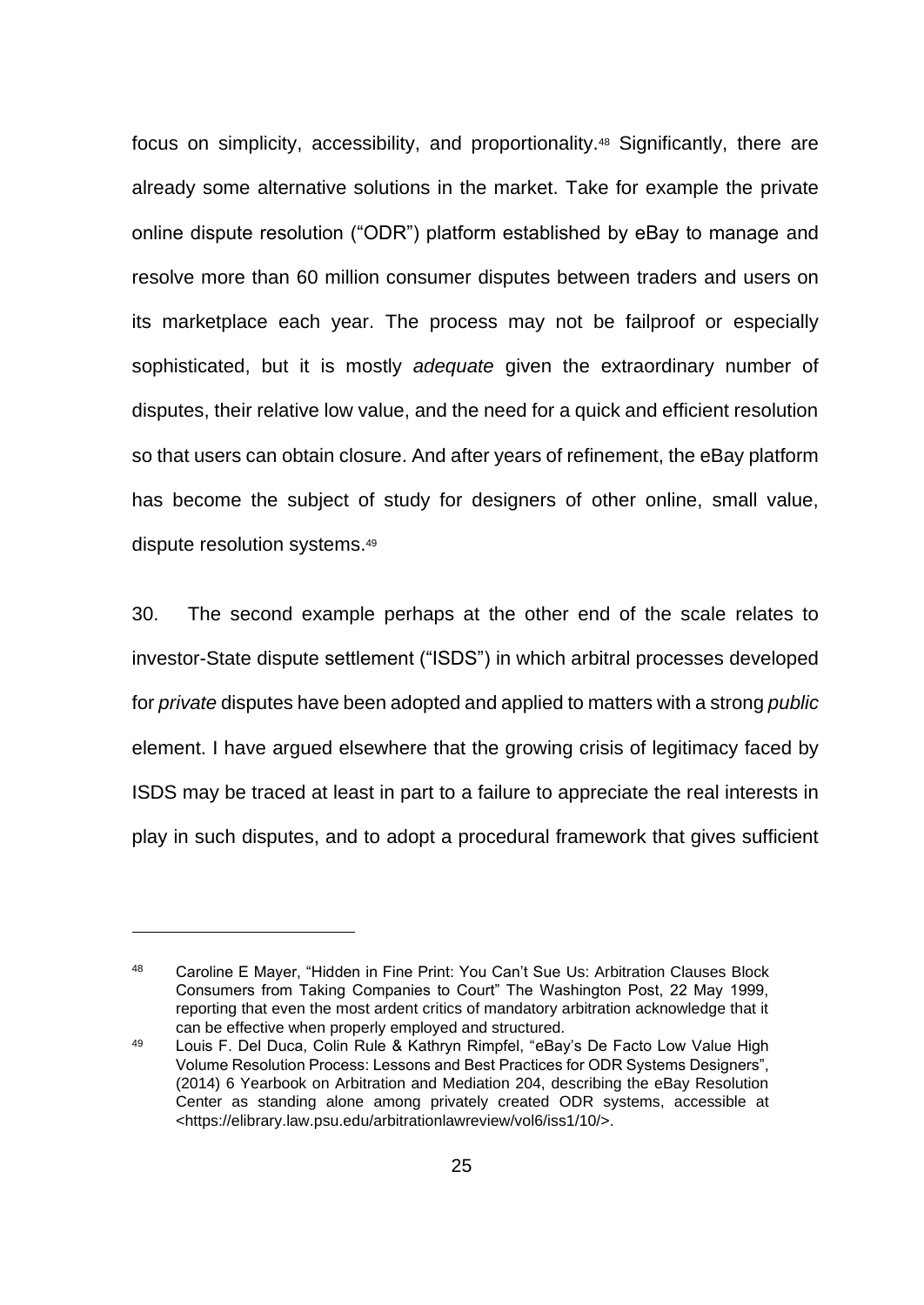focus on simplicity, accessibility, and proportionality.<sup>48</sup> Significantly, there are already some alternative solutions in the market. Take for example the private online dispute resolution ("ODR") platform established by eBay to manage and resolve more than 60 million consumer disputes between traders and users on its marketplace each year. The process may not be failproof or especially sophisticated, but it is mostly *adequate* given the extraordinary number of disputes, their relative low value, and the need for a quick and efficient resolution so that users can obtain closure. And after years of refinement, the eBay platform has become the subject of study for designers of other online, small value, dispute resolution systems. 49

30. The second example perhaps at the other end of the scale relates to investor-State dispute settlement ("ISDS") in which arbitral processes developed for *private* disputes have been adopted and applied to matters with a strong *public* element. I have argued elsewhere that the growing crisis of legitimacy faced by ISDS may be traced at least in part to a failure to appreciate the real interests in play in such disputes, and to adopt a procedural framework that gives sufficient

<sup>48</sup> Caroline E Mayer, "Hidden in Fine Print: You Can't Sue Us: Arbitration Clauses Block Consumers from Taking Companies to Court" The Washington Post, 22 May 1999, reporting that even the most ardent critics of mandatory arbitration acknowledge that it can be effective when properly employed and structured.

<sup>49</sup> Louis F. Del Duca, Colin Rule & Kathryn Rimpfel, "eBay's De Facto Low Value High Volume Resolution Process: Lessons and Best Practices for ODR Systems Designers", (2014) 6 Yearbook on Arbitration and Mediation 204, describing the eBay Resolution Center as standing alone among privately created ODR systems, accessible at <https://elibrary.law.psu.edu/arbitrationlawreview/vol6/iss1/10/>.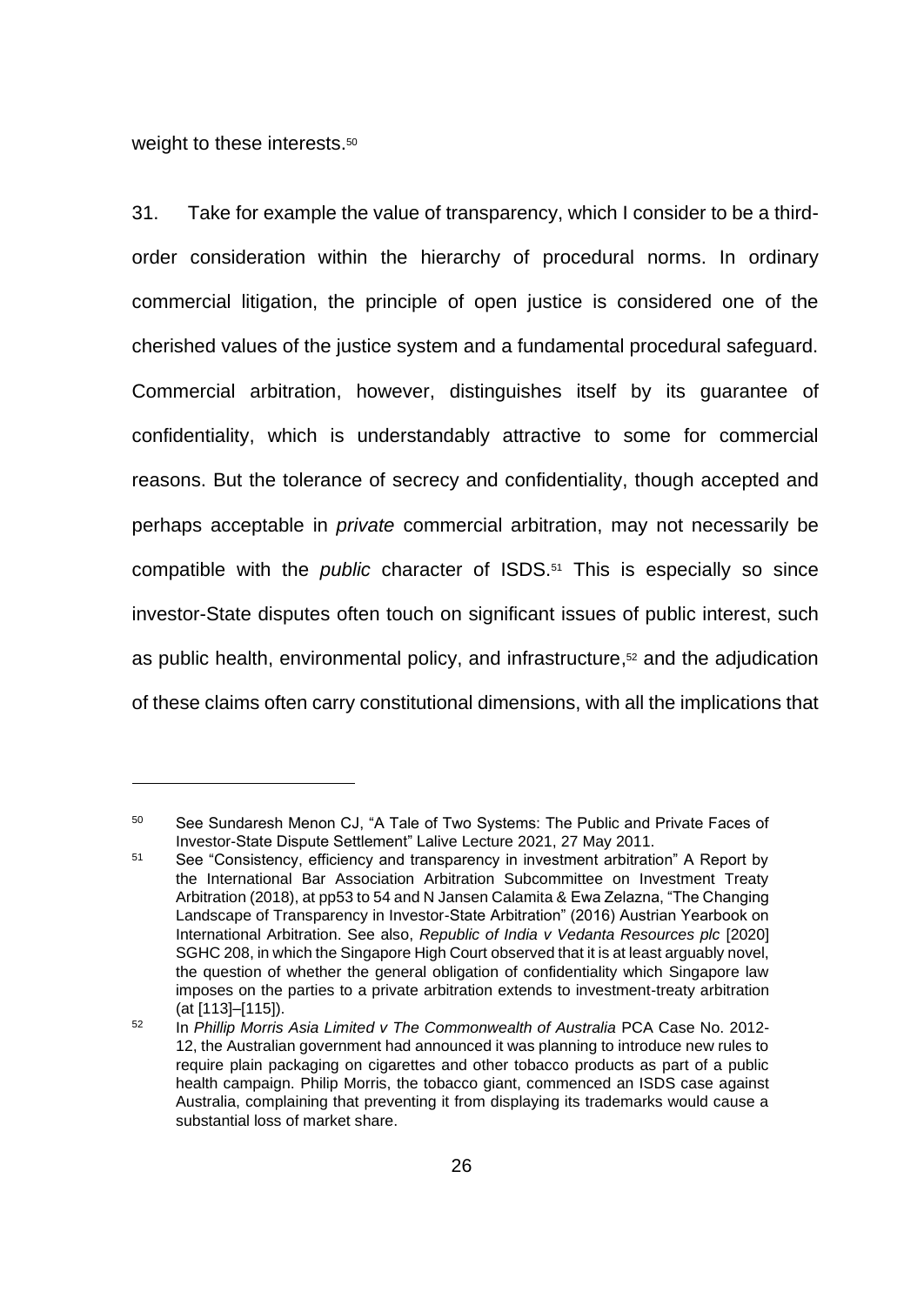weight to these interests.<sup>50</sup>

31. Take for example the value of transparency, which I consider to be a thirdorder consideration within the hierarchy of procedural norms. In ordinary commercial litigation, the principle of open justice is considered one of the cherished values of the justice system and a fundamental procedural safeguard. Commercial arbitration, however, distinguishes itself by its guarantee of confidentiality, which is understandably attractive to some for commercial reasons. But the tolerance of secrecy and confidentiality, though accepted and perhaps acceptable in *private* commercial arbitration, may not necessarily be compatible with the *public* character of ISDS. <sup>51</sup> This is especially so since investor-State disputes often touch on significant issues of public interest, such as public health, environmental policy, and infrastructure, <sup>52</sup> and the adjudication of these claims often carry constitutional dimensions, with all the implications that

<sup>50</sup> See Sundaresh Menon CJ, "A Tale of Two Systems: The Public and Private Faces of Investor-State Dispute Settlement" Lalive Lecture 2021, 27 May 2011.

<sup>51</sup> See "Consistency, efficiency and transparency in investment arbitration" A Report by the International Bar Association Arbitration Subcommittee on Investment Treaty Arbitration (2018), at pp53 to 54 and N Jansen Calamita & Ewa Zelazna, "The Changing Landscape of Transparency in Investor-State Arbitration" (2016) Austrian Yearbook on International Arbitration. See also, *Republic of India v Vedanta Resources plc* [2020] SGHC 208, in which the Singapore High Court observed that it is at least arguably novel, the question of whether the general obligation of confidentiality which Singapore law imposes on the parties to a private arbitration extends to investment-treaty arbitration (at [113]–[115]).

<sup>52</sup> In *Phillip Morris Asia Limited v The Commonwealth of Australia* PCA Case No. 2012- 12, the Australian government had announced it was planning to introduce new rules to require plain packaging on cigarettes and other tobacco products as part of a public health campaign. Philip Morris, the tobacco giant, commenced an ISDS case against Australia, complaining that preventing it from displaying its trademarks would cause a substantial loss of market share.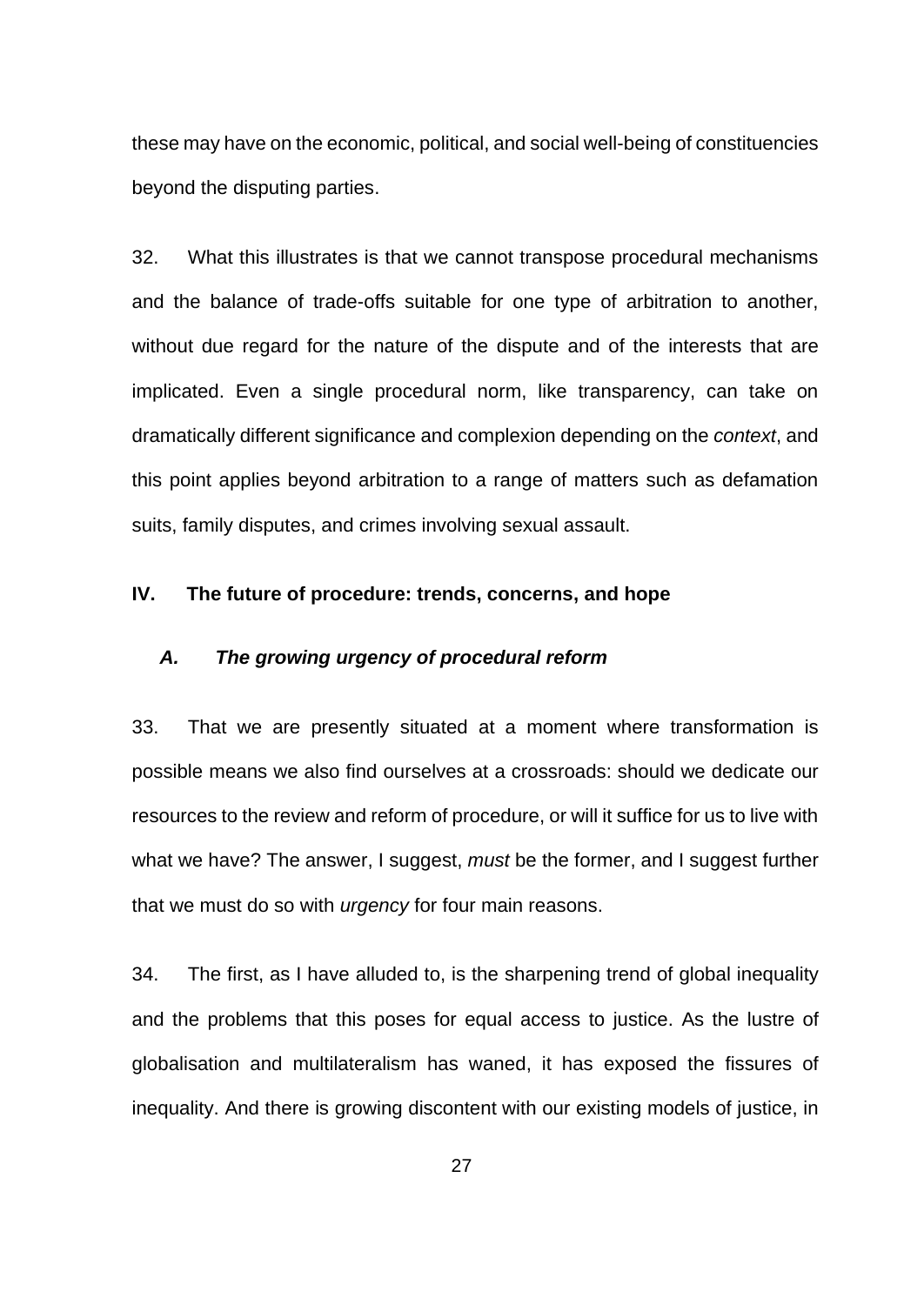these may have on the economic, political, and social well-being of constituencies beyond the disputing parties.

32. What this illustrates is that we cannot transpose procedural mechanisms and the balance of trade-offs suitable for one type of arbitration to another, without due regard for the nature of the dispute and of the interests that are implicated. Even a single procedural norm, like transparency, can take on dramatically different significance and complexion depending on the *context*, and this point applies beyond arbitration to a range of matters such as defamation suits, family disputes, and crimes involving sexual assault.

### **IV. The future of procedure: trends, concerns, and hope**

## *A. The growing urgency of procedural reform*

33. That we are presently situated at a moment where transformation is possible means we also find ourselves at a crossroads: should we dedicate our resources to the review and reform of procedure, or will it suffice for us to live with what we have? The answer, I suggest, *must* be the former, and I suggest further that we must do so with *urgency* for four main reasons.

34. The first, as I have alluded to, is the sharpening trend of global inequality and the problems that this poses for equal access to justice. As the lustre of globalisation and multilateralism has waned, it has exposed the fissures of inequality. And there is growing discontent with our existing models of justice, in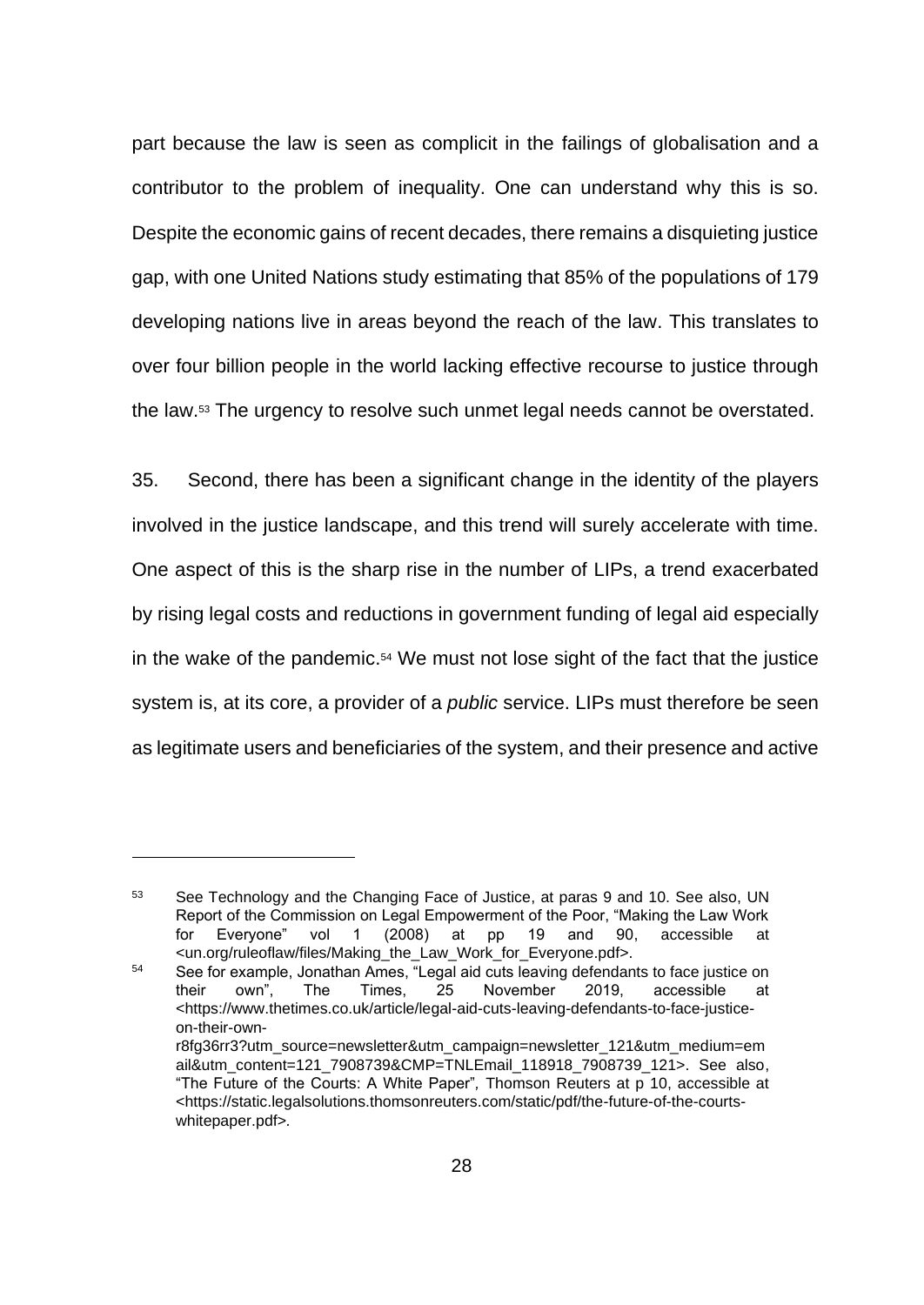part because the law is seen as complicit in the failings of globalisation and a contributor to the problem of inequality. One can understand why this is so. Despite the economic gains of recent decades, there remains a disquieting justice gap, with one United Nations study estimating that 85% of the populations of 179 developing nations live in areas beyond the reach of the law. This translates to over four billion people in the world lacking effective recourse to justice through the law.<sup>53</sup> The urgency to resolve such unmet legal needs cannot be overstated.

35. Second, there has been a significant change in the identity of the players involved in the justice landscape, and this trend will surely accelerate with time. One aspect of this is the sharp rise in the number of LIPs, a trend exacerbated by rising legal costs and reductions in government funding of legal aid especially in the wake of the pandemic. <sup>54</sup> We must not lose sight of the fact that the justice system is, at its core, a provider of a *public* service. LIPs must therefore be seen as legitimate users and beneficiaries of the system, and their presence and active

<sup>53</sup> See Technology and the Changing Face of Justice, at paras 9 and 10. See also, UN Report of the Commission on Legal Empowerment of the Poor, "Making the Law Work for Everyone" vol 1 (2008) at pp 19 and 90, accessible at <un.org/ruleoflaw/files/Making\_the\_Law\_Work\_for\_Everyone.pdf>.

<sup>&</sup>lt;sup>54</sup> See for example, Jonathan Ames, "Legal aid cuts leaving defendants to face justice on their own", The Times, 25 November 2019, accessible at <https://www.thetimes.co.uk/article/legal-aid-cuts-leaving-defendants-to-face-justiceon-their-ownr8fg36rr3?utm\_source=newsletter&utm\_campaign=newsletter\_121&utm\_medium=em ail&utm\_content=121\_7908739&CMP=TNLEmail\_118918\_7908739\_121>. See also, "The Future of the Courts: A White Paper"*,* Thomson Reuters at p 10, accessible at <https://static.legalsolutions.thomsonreuters.com/static/pdf/the-future-of-the-courtswhitepaper.pdf>*.*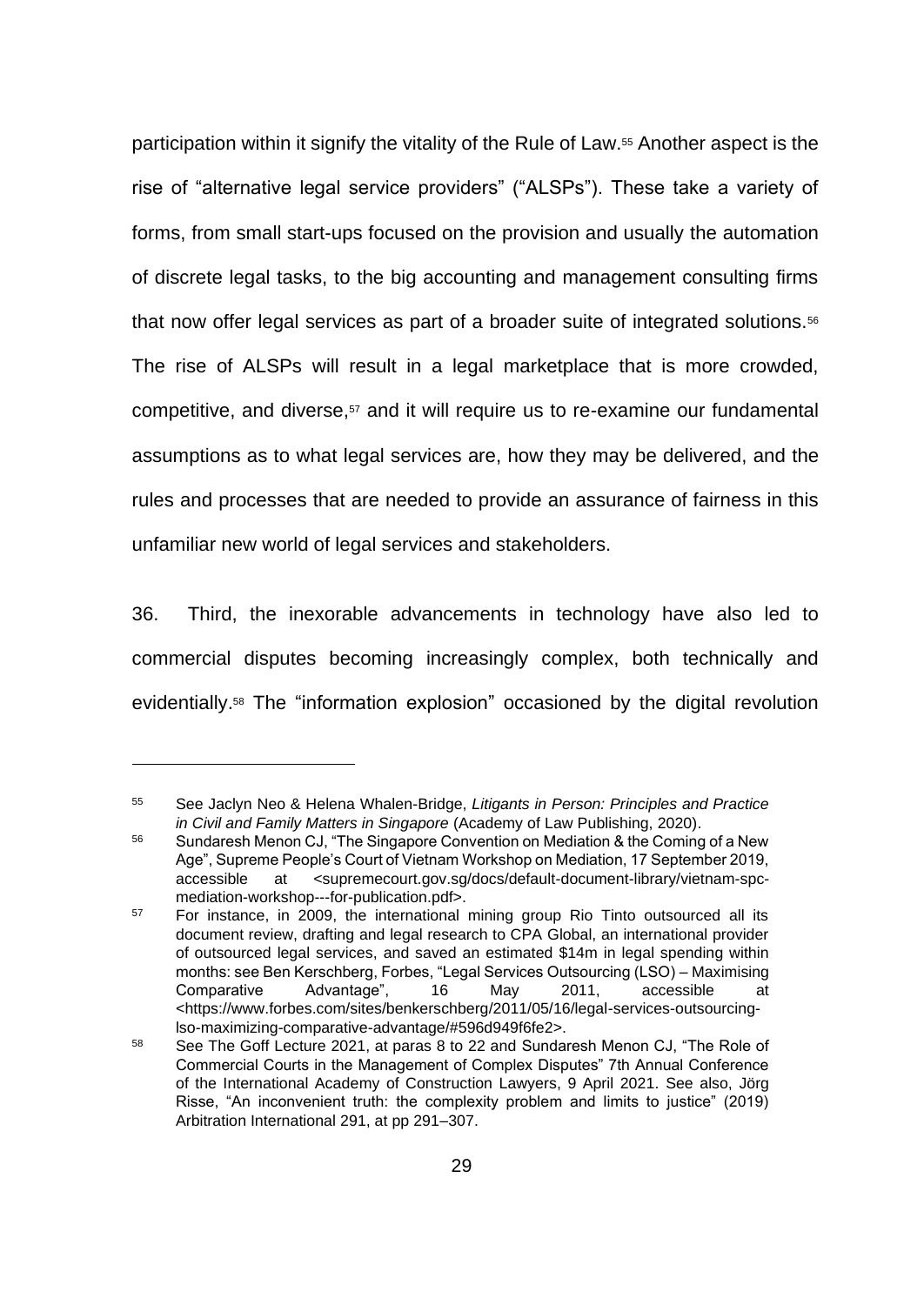participation within it signify the vitality of the Rule of Law.<sup>55</sup> Another aspect is the rise of "alternative legal service providers" ("ALSPs"). These take a variety of forms, from small start-ups focused on the provision and usually the automation of discrete legal tasks, to the big accounting and management consulting firms that now offer legal services as part of a broader suite of integrated solutions.<sup>56</sup> The rise of ALSPs will result in a legal marketplace that is more crowded, competitive, and diverse,<sup>57</sup> and it will require us to re-examine our fundamental assumptions as to what legal services are, how they may be delivered, and the rules and processes that are needed to provide an assurance of fairness in this unfamiliar new world of legal services and stakeholders.

36. Third, the inexorable advancements in technology have also led to commercial disputes becoming increasingly complex, both technically and evidentially. <sup>58</sup> The "information explosion" occasioned by the digital revolution

<sup>55</sup> See Jaclyn Neo & Helena Whalen-Bridge, *Litigants in Person: Principles and Practice in Civil and Family Matters in Singapore* (Academy of Law Publishing, 2020).

<sup>56</sup> Sundaresh Menon CJ, "The Singapore Convention on Mediation & the Coming of a New Age", Supreme People's Court of Vietnam Workshop on Mediation, 17 September 2019, accessible at <supremecourt.gov.sg/docs/default-document-library/vietnam-spcmediation-workshop---for-publication.pdf>.

<sup>57</sup> For instance, in 2009, the international mining group Rio Tinto outsourced all its document review, drafting and legal research to CPA Global, an international provider of outsourced legal services, and saved an estimated \$14m in legal spending within months: see Ben Kerschberg, Forbes, "Legal Services Outsourcing (LSO) – Maximising Comparative Advantage", 16 May 2011, accessible at <https://www.forbes.com/sites/benkerschberg/2011/05/16/legal-services-outsourcinglso-maximizing-comparative-advantage/#596d949f6fe2>.

<sup>58</sup> See The Goff Lecture 2021, at paras 8 to 22 and Sundaresh Menon CJ, "The Role of Commercial Courts in the Management of Complex Disputes" 7th Annual Conference of the International Academy of Construction Lawyers, 9 April 2021. See also, Jörg Risse, "An inconvenient truth: the complexity problem and limits to justice" (2019) Arbitration International 291, at pp 291–307.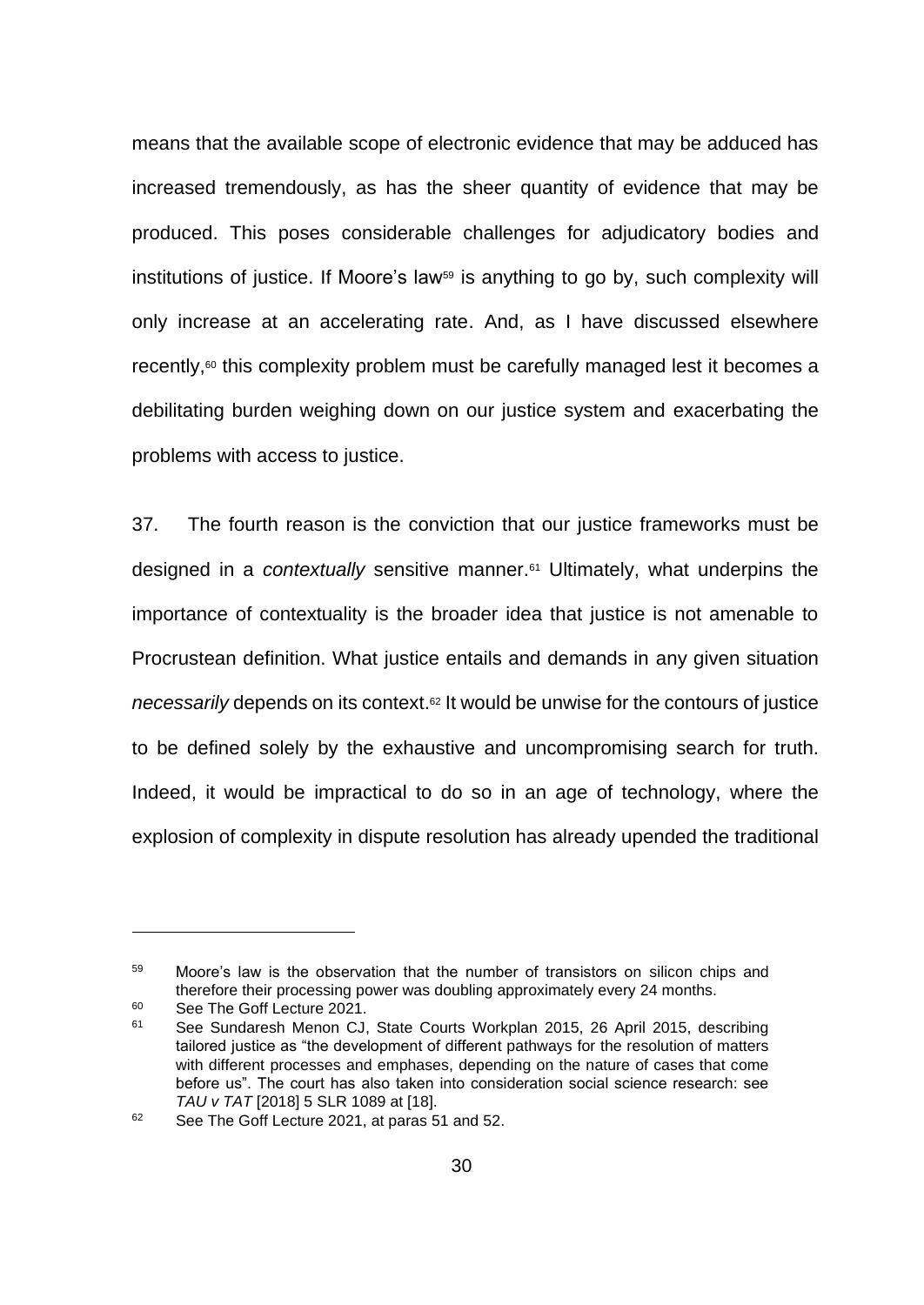means that the available scope of electronic evidence that may be adduced has increased tremendously, as has the sheer quantity of evidence that may be produced. This poses considerable challenges for adjudicatory bodies and institutions of justice. If Moore's law<sup>59</sup> is anything to go by, such complexity will only increase at an accelerating rate. And, as I have discussed elsewhere recently,<sup>60</sup> this complexity problem must be carefully managed lest it becomes a debilitating burden weighing down on our justice system and exacerbating the problems with access to justice.

37. The fourth reason is the conviction that our justice frameworks must be designed in a *contextually* sensitive manner.<sup>61</sup> Ultimately, what underpins the importance of contextuality is the broader idea that justice is not amenable to Procrustean definition. What justice entails and demands in any given situation *necessarily* depends on its context.<sup>62</sup> It would be unwise for the contours of justice to be defined solely by the exhaustive and uncompromising search for truth. Indeed, it would be impractical to do so in an age of technology, where the explosion of complexity in dispute resolution has already upended the traditional

<sup>59</sup> Moore's law is the observation that the number of transistors on silicon chips and therefore their processing power was doubling approximately every 24 months.

<sup>&</sup>lt;sup>60</sup> See The Goff Lecture 2021.

<sup>61</sup> See Sundaresh Menon CJ, State Courts Workplan 2015, 26 April 2015, describing tailored justice as "the development of different pathways for the resolution of matters with different processes and emphases, depending on the nature of cases that come before us". The court has also taken into consideration social science research: see *TAU v TAT* [2018] 5 SLR 1089 at [18].

<sup>&</sup>lt;sup>62</sup> See The Goff Lecture 2021, at paras 51 and 52.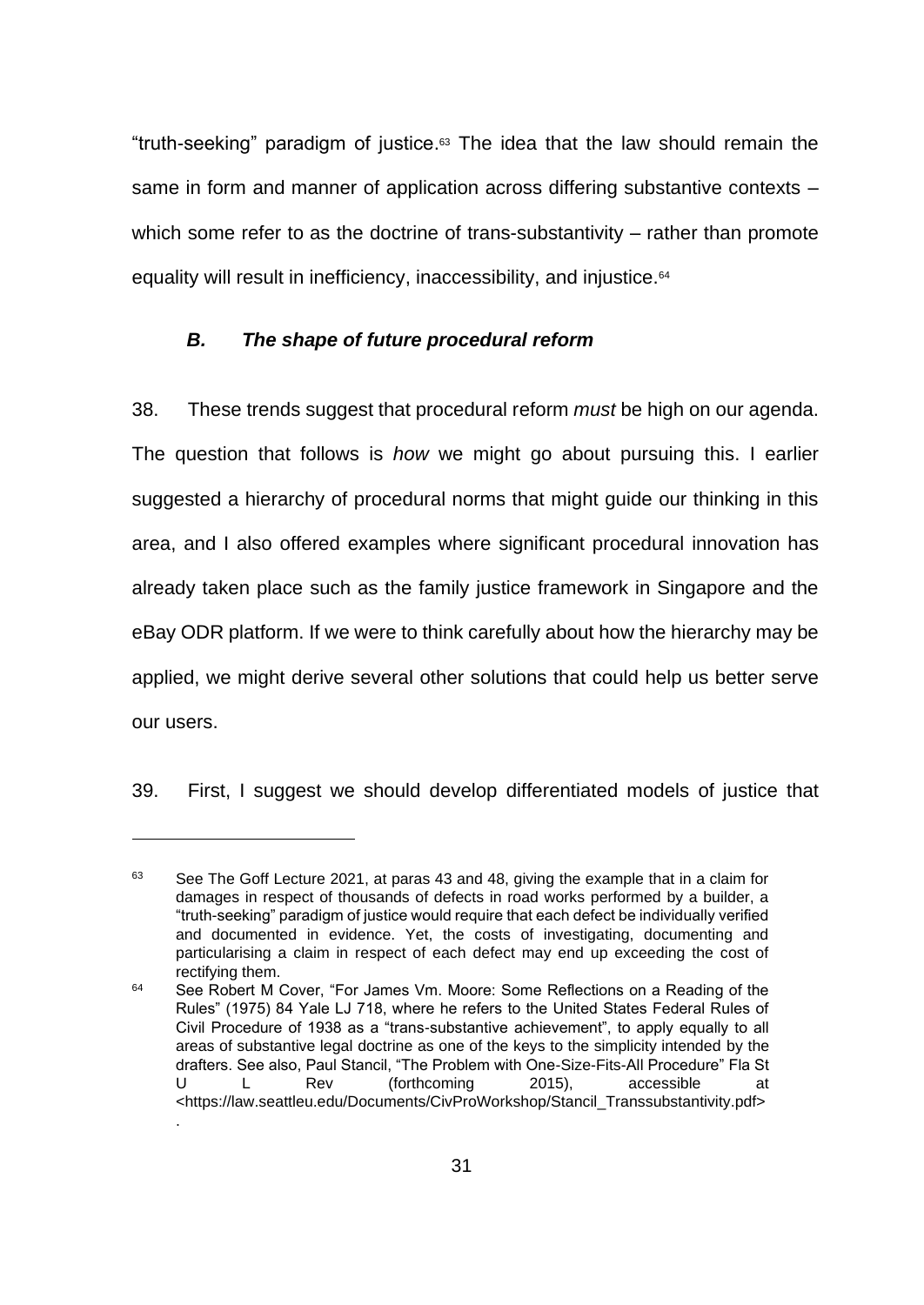"truth-seeking" paradigm of justice. <sup>63</sup> The idea that the law should remain the same in form and manner of application across differing substantive contexts – which some refer to as the doctrine of trans-substantivity – rather than promote equality will result in inefficiency, inaccessibility, and injustice.<sup>64</sup>

# *B. The shape of future procedural reform*

38. These trends suggest that procedural reform *must* be high on our agenda. The question that follows is *how* we might go about pursuing this. I earlier suggested a hierarchy of procedural norms that might guide our thinking in this area, and I also offered examples where significant procedural innovation has already taken place such as the family justice framework in Singapore and the eBay ODR platform. If we were to think carefully about how the hierarchy may be applied, we might derive several other solutions that could help us better serve our users.

39. First, I suggest we should develop differentiated models of justice that

.

<sup>&</sup>lt;sup>63</sup> See The Goff Lecture 2021, at paras 43 and 48, giving the example that in a claim for damages in respect of thousands of defects in road works performed by a builder, a "truth-seeking" paradigm of justice would require that each defect be individually verified and documented in evidence. Yet, the costs of investigating, documenting and particularising a claim in respect of each defect may end up exceeding the cost of rectifying them.

<sup>&</sup>lt;sup>64</sup> See Robert M Cover, "For James Vm. Moore: Some Reflections on a Reading of the Rules" (1975) 84 Yale LJ 718, where he refers to the United States Federal Rules of Civil Procedure of 1938 as a "trans-substantive achievement", to apply equally to all areas of substantive legal doctrine as one of the keys to the simplicity intended by the drafters. See also, Paul Stancil, "The Problem with One-Size-Fits-All Procedure" Fla St U L Rev (forthcoming 2015), accessible at <https://law.seattleu.edu/Documents/CivProWorkshop/Stancil\_Transsubstantivity.pdf>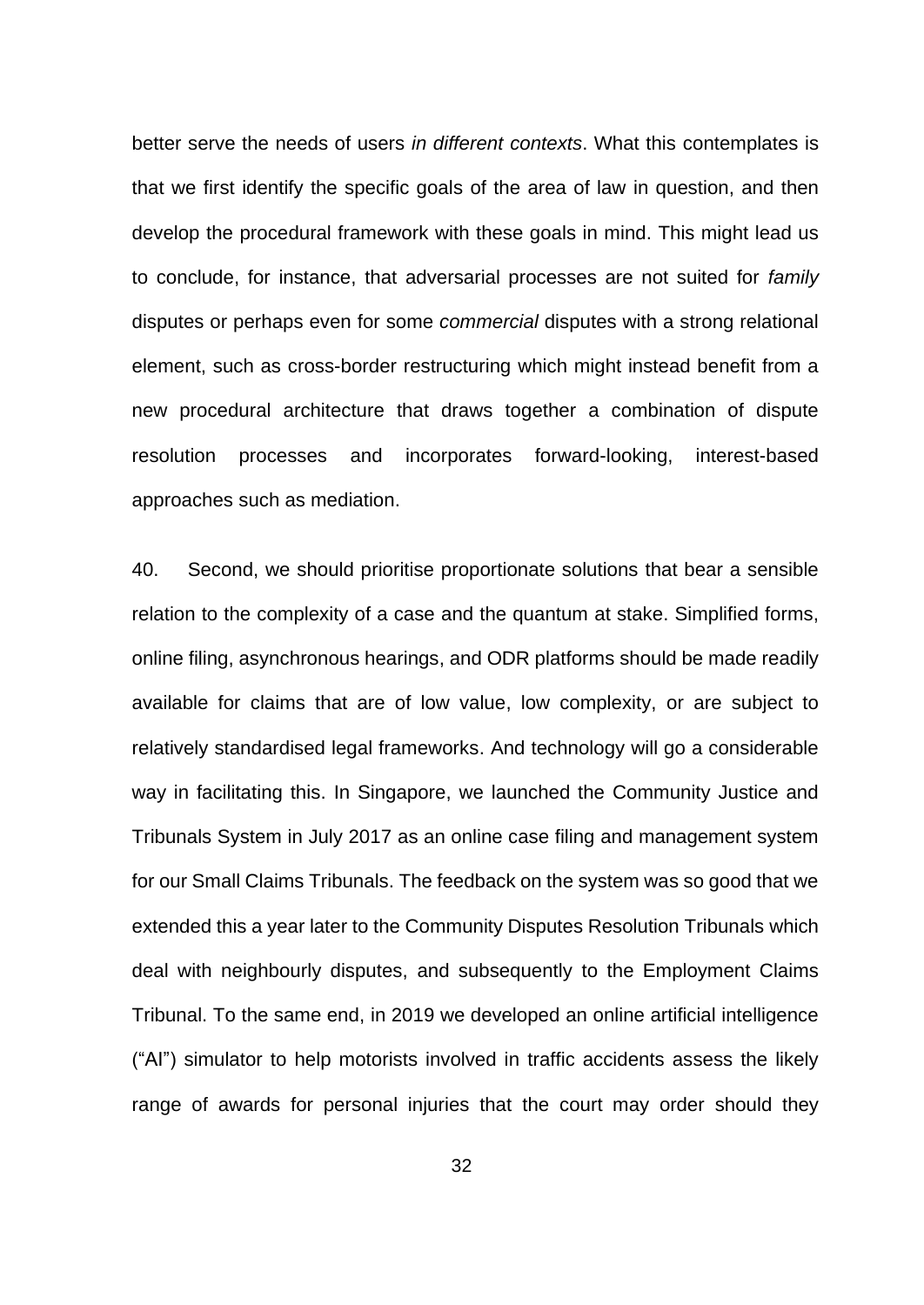better serve the needs of users *in different contexts*. What this contemplates is that we first identify the specific goals of the area of law in question, and then develop the procedural framework with these goals in mind. This might lead us to conclude, for instance, that adversarial processes are not suited for *family* disputes or perhaps even for some *commercial* disputes with a strong relational element, such as cross-border restructuring which might instead benefit from a new procedural architecture that draws together a combination of dispute resolution processes and incorporates forward-looking, interest-based approaches such as mediation.

40. Second, we should prioritise proportionate solutions that bear a sensible relation to the complexity of a case and the quantum at stake. Simplified forms, online filing, asynchronous hearings, and ODR platforms should be made readily available for claims that are of low value, low complexity, or are subject to relatively standardised legal frameworks. And technology will go a considerable way in facilitating this. In Singapore, we launched the Community Justice and Tribunals System in July 2017 as an online case filing and management system for our Small Claims Tribunals. The feedback on the system was so good that we extended this a year later to the Community Disputes Resolution Tribunals which deal with neighbourly disputes, and subsequently to the Employment Claims Tribunal. To the same end, in 2019 we developed an online artificial intelligence ("AI") simulator to help motorists involved in traffic accidents assess the likely range of awards for personal injuries that the court may order should they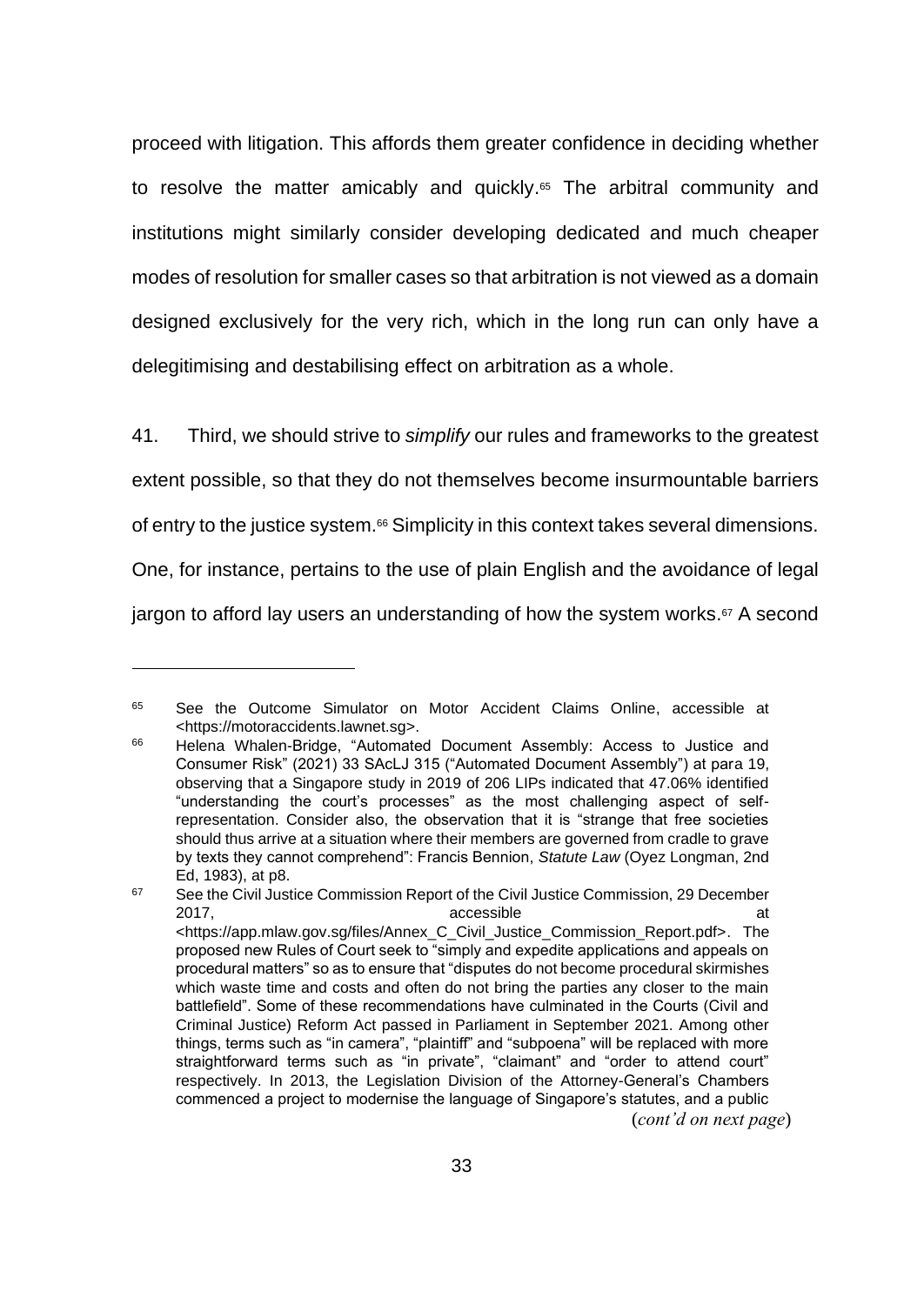proceed with litigation. This affords them greater confidence in deciding whether to resolve the matter amicably and quickly. <sup>65</sup> The arbitral community and institutions might similarly consider developing dedicated and much cheaper modes of resolution for smaller cases so that arbitration is not viewed as a domain designed exclusively for the very rich, which in the long run can only have a delegitimising and destabilising effect on arbitration as a whole.

41. Third, we should strive to *simplify* our rules and frameworks to the greatest extent possible, so that they do not themselves become insurmountable barriers of entry to the justice system.<sup>66</sup> Simplicity in this context takes several dimensions. One, for instance, pertains to the use of plain English and the avoidance of legal jargon to afford lay users an understanding of how the system works. <sup>67</sup> A second

<sup>&</sup>lt;sup>65</sup> See the Outcome Simulator on Motor Accident Claims Online, accessible at <https://motoraccidents.lawnet.sg>.

<sup>66</sup> Helena Whalen-Bridge, "Automated Document Assembly: Access to Justice and Consumer Risk" (2021) 33 SAcLJ 315 ("Automated Document Assembly") at para 19, observing that a Singapore study in 2019 of 206 LIPs indicated that 47.06% identified "understanding the court's processes" as the most challenging aspect of selfrepresentation. Consider also, the observation that it is "strange that free societies should thus arrive at a situation where their members are governed from cradle to grave by texts they cannot comprehend": Francis Bennion, *Statute Law* (Oyez Longman, 2nd Ed, 1983), at p8.

<sup>&</sup>lt;sup>67</sup> See the Civil Justice Commission Report of the Civil Justice Commission, 29 December 2017, accessible at <https://app.mlaw.gov.sg/files/Annex\_C\_Civil\_Justice\_Commission\_Report.pdf>. The proposed new Rules of Court seek to "simply and expedite applications and appeals on procedural matters" so as to ensure that "disputes do not become procedural skirmishes which waste time and costs and often do not bring the parties any closer to the main battlefield". Some of these recommendations have culminated in the Courts (Civil and Criminal Justice) Reform Act passed in Parliament in September 2021. Among other things, terms such as "in camera", "plaintiff" and "subpoena" will be replaced with more straightforward terms such as "in private", "claimant" and "order to attend court" respectively. In 2013, the Legislation Division of the Attorney-General's Chambers commenced a project to modernise the language of Singapore's statutes, and a public (*cont'd on next page*)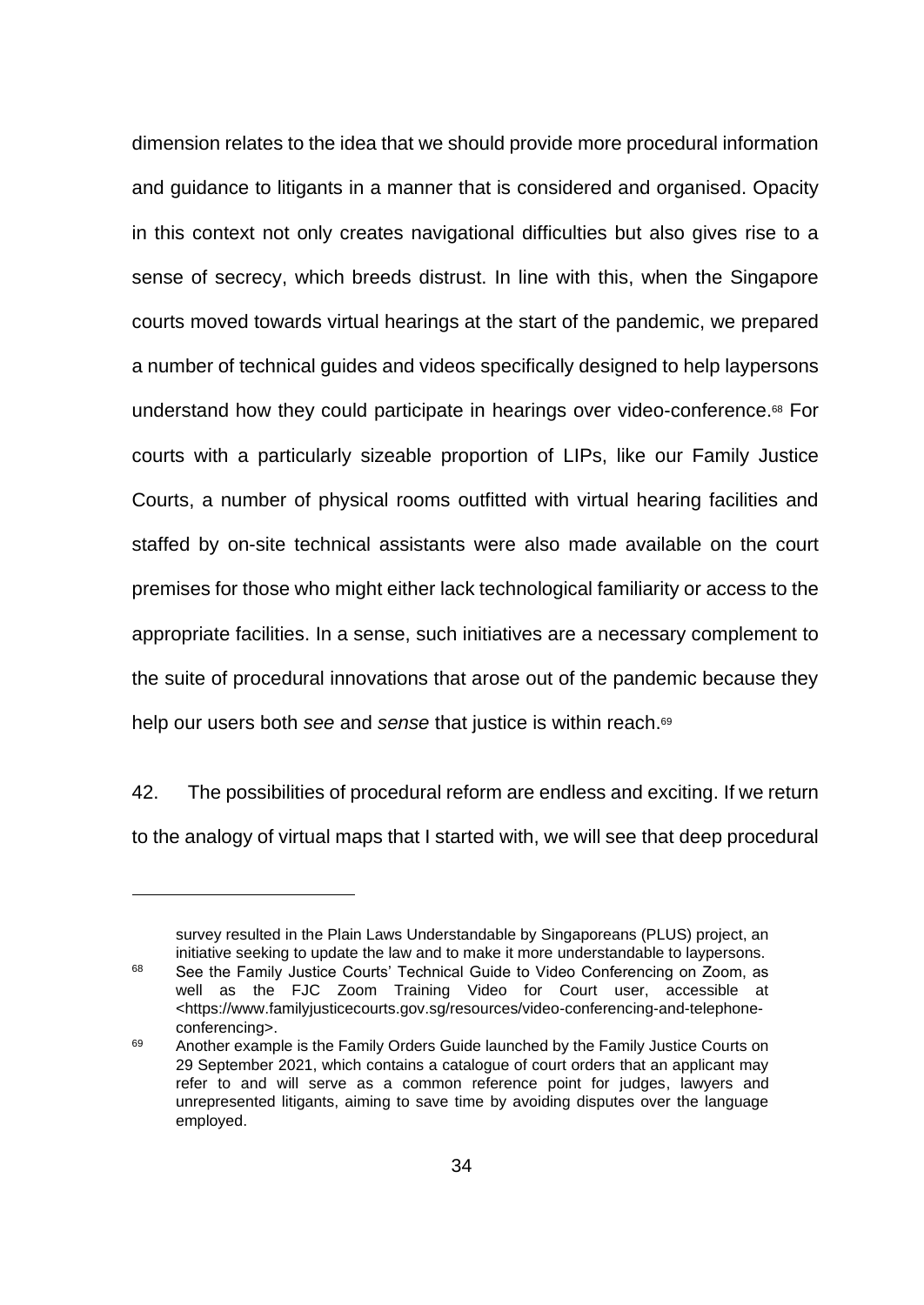dimension relates to the idea that we should provide more procedural information and guidance to litigants in a manner that is considered and organised. Opacity in this context not only creates navigational difficulties but also gives rise to a sense of secrecy, which breeds distrust. In line with this, when the Singapore courts moved towards virtual hearings at the start of the pandemic, we prepared a number of technical guides and videos specifically designed to help laypersons understand how they could participate in hearings over video-conference. <sup>68</sup> For courts with a particularly sizeable proportion of LIPs, like our Family Justice Courts, a number of physical rooms outfitted with virtual hearing facilities and staffed by on-site technical assistants were also made available on the court premises for those who might either lack technological familiarity or access to the appropriate facilities. In a sense, such initiatives are a necessary complement to the suite of procedural innovations that arose out of the pandemic because they help our users both *see* and *sense* that justice is within reach. 69

42. The possibilities of procedural reform are endless and exciting. If we return to the analogy of virtual maps that I started with, we will see that deep procedural

survey resulted in the Plain Laws Understandable by Singaporeans (PLUS) project, an initiative seeking to update the law and to make it more understandable to laypersons.

<sup>68</sup> See the Family Justice Courts' Technical Guide to Video Conferencing on Zoom, as well as the FJC Zoom Training Video for Court user, accessible at <https://www.familyjusticecourts.gov.sg/resources/video-conferencing-and-telephoneconferencing>.

<sup>&</sup>lt;sup>69</sup> Another example is the Family Orders Guide launched by the Family Justice Courts on 29 September 2021, which contains a catalogue of court orders that an applicant may refer to and will serve as a common reference point for judges, lawyers and unrepresented litigants, aiming to save time by avoiding disputes over the language employed.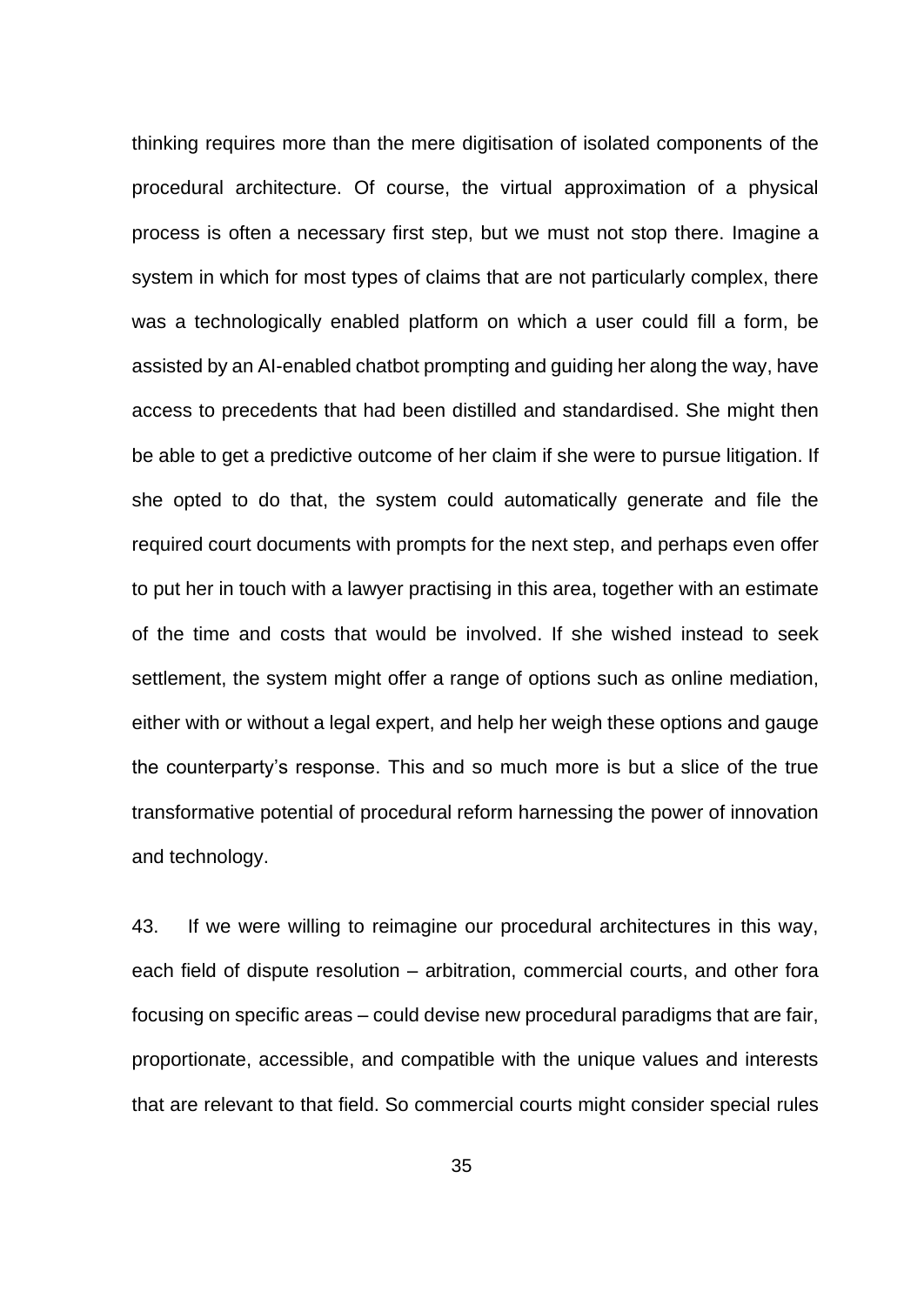thinking requires more than the mere digitisation of isolated components of the procedural architecture. Of course, the virtual approximation of a physical process is often a necessary first step, but we must not stop there. Imagine a system in which for most types of claims that are not particularly complex, there was a technologically enabled platform on which a user could fill a form, be assisted by an AI-enabled chatbot prompting and guiding her along the way, have access to precedents that had been distilled and standardised. She might then be able to get a predictive outcome of her claim if she were to pursue litigation. If she opted to do that, the system could automatically generate and file the required court documents with prompts for the next step, and perhaps even offer to put her in touch with a lawyer practising in this area, together with an estimate of the time and costs that would be involved. If she wished instead to seek settlement, the system might offer a range of options such as online mediation, either with or without a legal expert, and help her weigh these options and gauge the counterparty's response. This and so much more is but a slice of the true transformative potential of procedural reform harnessing the power of innovation and technology.

43. If we were willing to reimagine our procedural architectures in this way, each field of dispute resolution – arbitration, commercial courts, and other fora focusing on specific areas – could devise new procedural paradigms that are fair, proportionate, accessible, and compatible with the unique values and interests that are relevant to that field. So commercial courts might consider special rules

35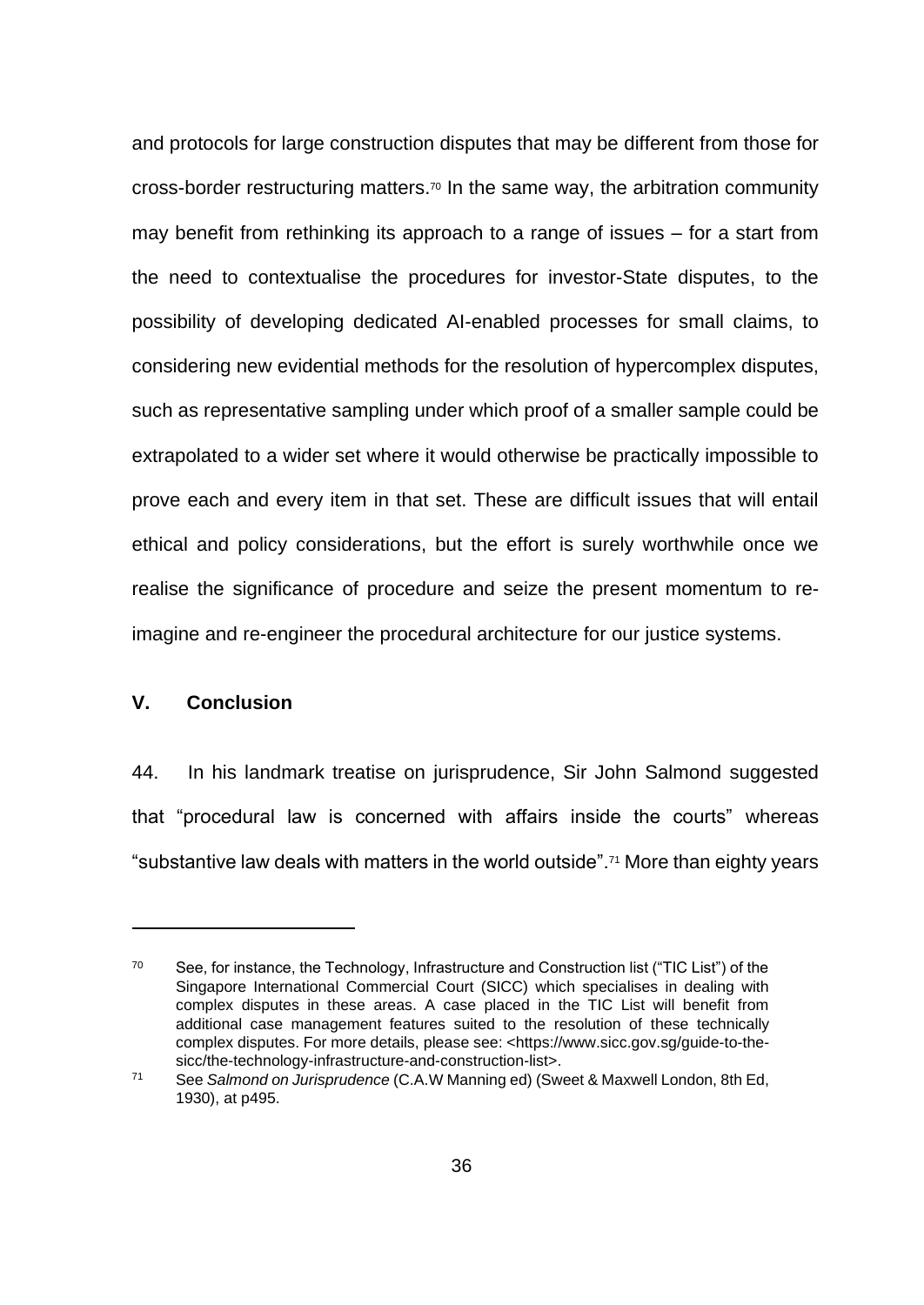and protocols for large construction disputes that may be different from those for cross-border restructuring matters. <sup>70</sup> In the same way, the arbitration community may benefit from rethinking its approach to a range of issues – for a start from the need to contextualise the procedures for investor-State disputes, to the possibility of developing dedicated AI-enabled processes for small claims, to considering new evidential methods for the resolution of hypercomplex disputes, such as representative sampling under which proof of a smaller sample could be extrapolated to a wider set where it would otherwise be practically impossible to prove each and every item in that set. These are difficult issues that will entail ethical and policy considerations, but the effort is surely worthwhile once we realise the significance of procedure and seize the present momentum to reimagine and re-engineer the procedural architecture for our justice systems.

# **V. Conclusion**

44. In his landmark treatise on jurisprudence, Sir John Salmond suggested that "procedural law is concerned with affairs inside the courts" whereas "substantive law deals with matters in the world outside".<sup>71</sup> More than eighty years

<sup>&</sup>lt;sup>70</sup> See, for instance, the Technology, Infrastructure and Construction list ("TIC List") of the Singapore International Commercial Court (SICC) which specialises in dealing with complex disputes in these areas. A case placed in the TIC List will benefit from additional case management features suited to the resolution of these technically complex disputes. For more details, please see: <https://www.sicc.gov.sg/guide-to-thesicc/the-technology-infrastructure-and-construction-list>.

<sup>71</sup> See *Salmond on Jurisprudence* (C.A.W Manning ed) (Sweet & Maxwell London, 8th Ed, 1930), at p495.